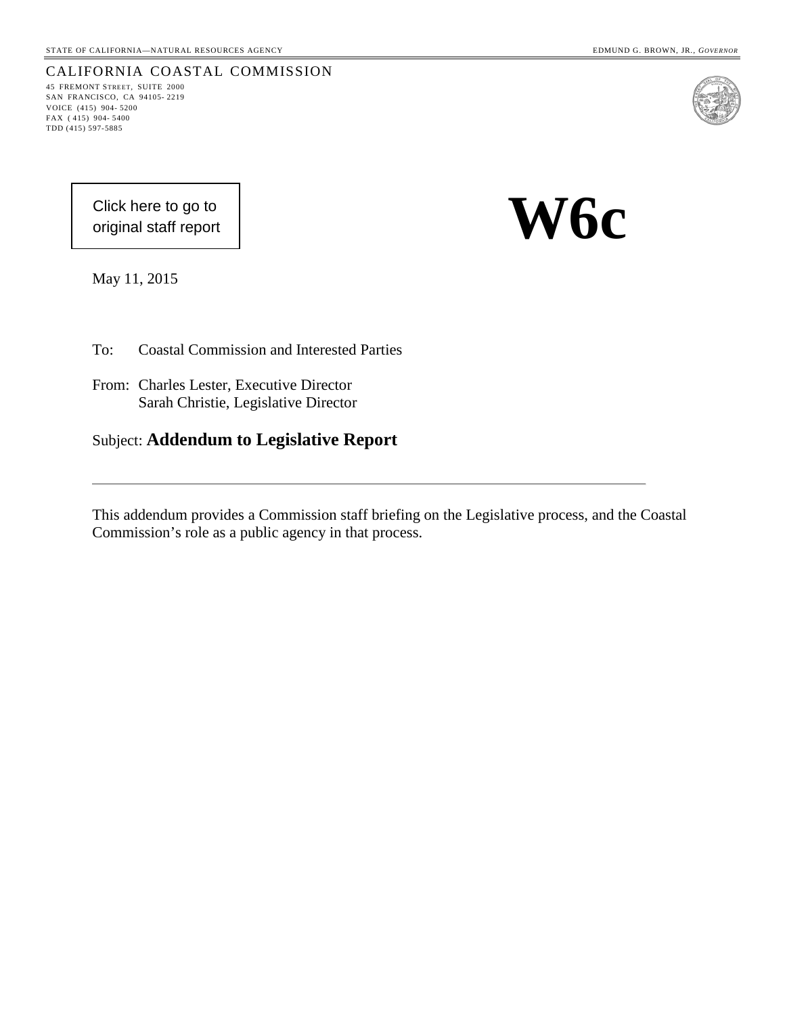45 FREMONT STREET, SUITE 2000 SAN FRANCISCO, CA 94105- 2219 VOICE (415) 904- 5200 FAX ( 415) 904- 5400 TDD (415) 597-5885

CALIFORNIA COASTAL COMMISSION

[Click here to go to](#page-6-0)  original staff report **W6c** 

May 11, 2015

To: Coastal Commission and Interested Parties

- From: Charles Lester, Executive Director Sarah Christie, Legislative Director
- Subject: **Addendum to Legislative Report**

This addendum provides a Commission staff briefing on the Legislative process, and the Coastal Commission's role as a public agency in that process.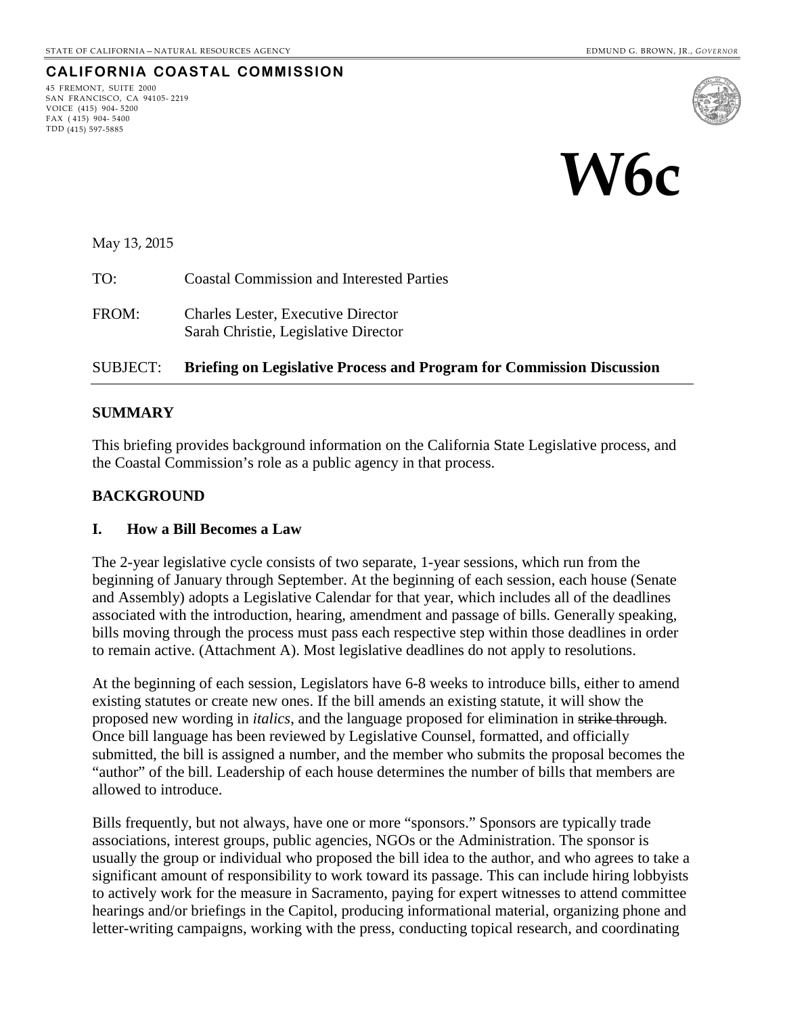# **CALIFORNIA COASTAL COMMISSION**

45 FREMONT, SUITE 2000 SAN FRANCISCO, CA 94105- 2219 VOICE (415) 904- 5200 FAX ( 415) 904- 5400 TDD (415) 597-5885





May 13, 2015

TO: Coastal Commission and Interested Parties

FROM: Charles Lester, Executive Director Sarah Christie, Legislative Director

## SUBJECT: **Briefing on Legislative Process and Program for Commission Discussion**

## **SUMMARY**

This briefing provides background information on the California State Legislative process, and the Coastal Commission's role as a public agency in that process.

# **BACKGROUND**

#### **I. How a Bill Becomes a Law**

The 2-year legislative cycle consists of two separate, 1-year sessions, which run from the beginning of January through September. At the beginning of each session, each house (Senate and Assembly) adopts a Legislative Calendar for that year, which includes all of the deadlines associated with the introduction, hearing, amendment and passage of bills. Generally speaking, bills moving through the process must pass each respective step within those deadlines in order to remain active. [\(Attachment A\)](#page-3-0). Most legislative deadlines do not apply to resolutions.

At the beginning of each session, Legislators have 6-8 weeks to introduce bills, either to amend existing statutes or create new ones. If the bill amends an existing statute, it will show the proposed new wording in *italics*, and the language proposed for elimination in strike through. Once bill language has been reviewed by Legislative Counsel, formatted, and officially submitted, the bill is assigned a number, and the member who submits the proposal becomes the "author" of the bill. Leadership of each house determines the number of bills that members are allowed to introduce.

Bills frequently, but not always, have one or more "sponsors." Sponsors are typically trade associations, interest groups, public agencies, NGOs or the Administration. The sponsor is usually the group or individual who proposed the bill idea to the author, and who agrees to take a significant amount of responsibility to work toward its passage. This can include hiring lobbyists to actively work for the measure in Sacramento, paying for expert witnesses to attend committee hearings and/or briefings in the Capitol, producing informational material, organizing phone and letter-writing campaigns, working with the press, conducting topical research, and coordinating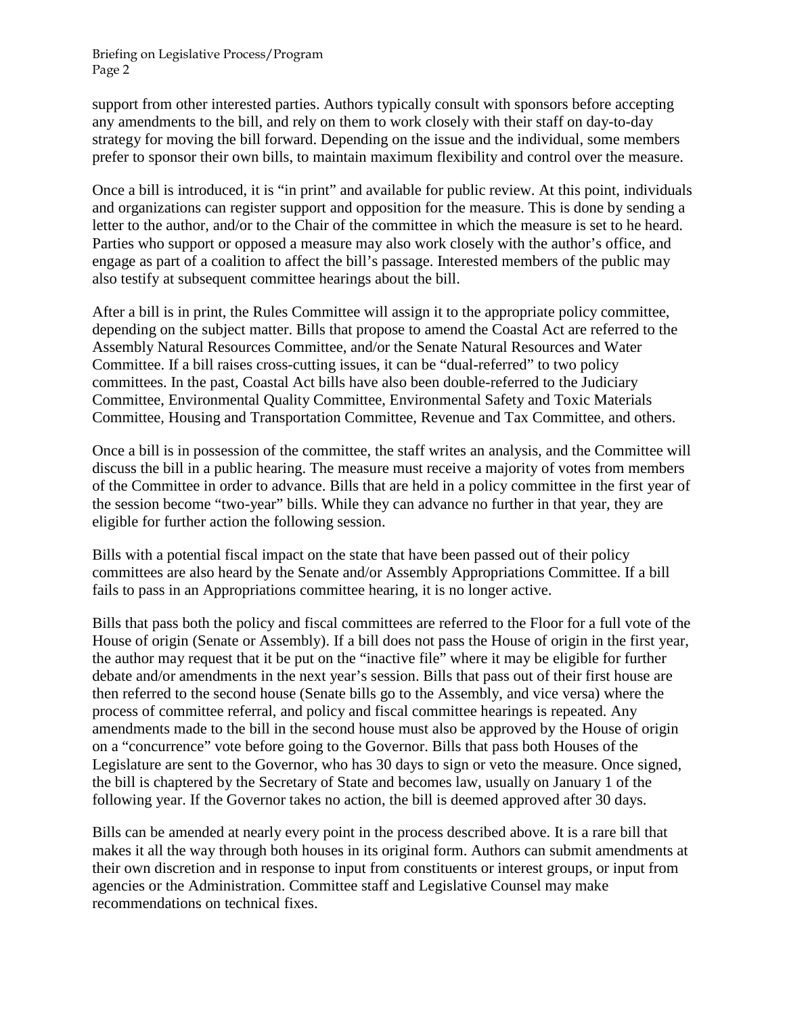Briefing on Legislative Process/Program Page 2

support from other interested parties. Authors typically consult with sponsors before accepting any amendments to the bill, and rely on them to work closely with their staff on day-to-day strategy for moving the bill forward. Depending on the issue and the individual, some members prefer to sponsor their own bills, to maintain maximum flexibility and control over the measure.

Once a bill is introduced, it is "in print" and available for public review. At this point, individuals and organizations can register support and opposition for the measure. This is done by sending a letter to the author, and/or to the Chair of the committee in which the measure is set to he heard. Parties who support or opposed a measure may also work closely with the author's office, and engage as part of a coalition to affect the bill's passage. Interested members of the public may also testify at subsequent committee hearings about the bill.

After a bill is in print, the Rules Committee will assign it to the appropriate policy committee, depending on the subject matter. Bills that propose to amend the Coastal Act are referred to the Assembly Natural Resources Committee, and/or the Senate Natural Resources and Water Committee. If a bill raises cross-cutting issues, it can be "dual-referred" to two policy committees. In the past, Coastal Act bills have also been double-referred to the Judiciary Committee, Environmental Quality Committee, Environmental Safety and Toxic Materials Committee, Housing and Transportation Committee, Revenue and Tax Committee, and others.

Once a bill is in possession of the committee, the staff writes an analysis, and the Committee will discuss the bill in a public hearing. The measure must receive a majority of votes from members of the Committee in order to advance. Bills that are held in a policy committee in the first year of the session become "two-year" bills. While they can advance no further in that year, they are eligible for further action the following session.

Bills with a potential fiscal impact on the state that have been passed out of their policy committees are also heard by the Senate and/or Assembly Appropriations Committee. If a bill fails to pass in an Appropriations committee hearing, it is no longer active.

Bills that pass both the policy and fiscal committees are referred to the Floor for a full vote of the House of origin (Senate or Assembly). If a bill does not pass the House of origin in the first year, the author may request that it be put on the "inactive file" where it may be eligible for further debate and/or amendments in the next year's session. Bills that pass out of their first house are then referred to the second house (Senate bills go to the Assembly, and vice versa) where the process of committee referral, and policy and fiscal committee hearings is repeated. Any amendments made to the bill in the second house must also be approved by the House of origin on a "concurrence" vote before going to the Governor. Bills that pass both Houses of the Legislature are sent to the Governor, who has 30 days to sign or veto the measure. Once signed, the bill is chaptered by the Secretary of State and becomes law, usually on January 1 of the following year. If the Governor takes no action, the bill is deemed approved after 30 days.

Bills can be amended at nearly every point in the process described above. It is a rare bill that makes it all the way through both houses in its original form. Authors can submit amendments at their own discretion and in response to input from constituents or interest groups, or input from agencies or the Administration. Committee staff and Legislative Counsel may make recommendations on technical fixes.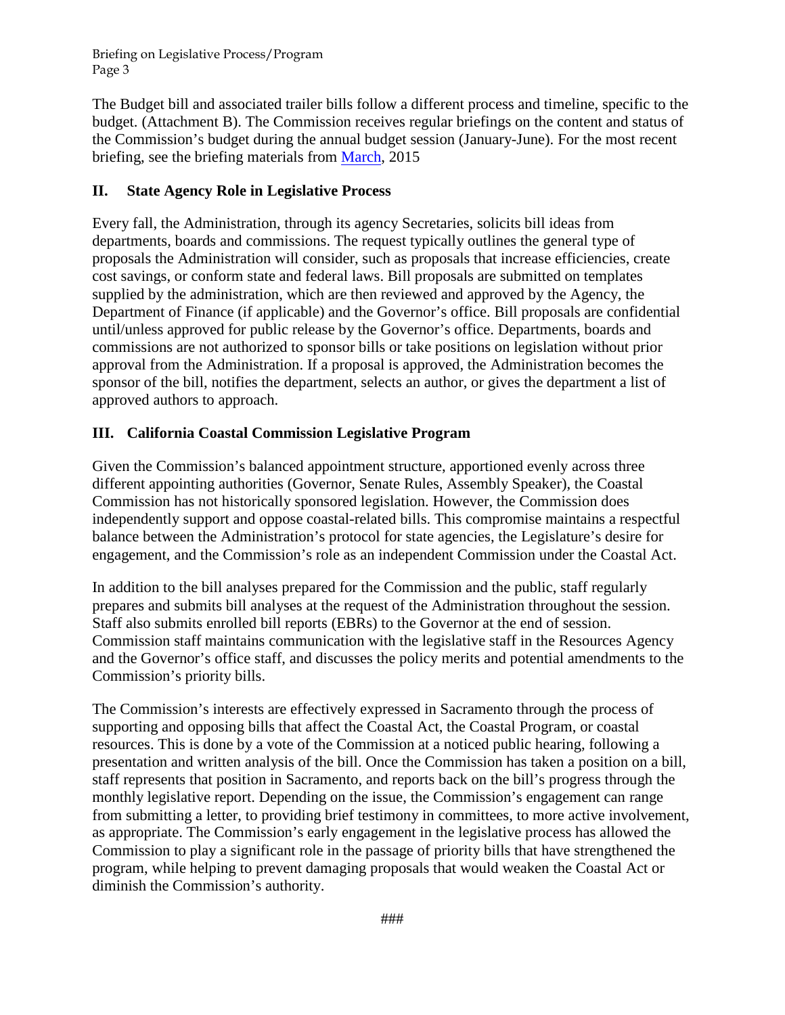<span id="page-3-0"></span>Briefing on Legislative Process/Program Page 3

The Budget bill and associated trailer bills follow a different process and timeline, specific to the budget. [\(Attachment B\)](#page-5-0). The Commission receives regular briefings on the content and status of the Commission's budget during the annual budget session (January-June). For the most recent briefing, see the briefing materials from [March,](http://documents.coastal.ca.gov/reports/2015/3/w6a-3-2015.pdf) 2015

# **II. State Agency Role in Legislative Process**

Every fall, the Administration, through its agency Secretaries, solicits bill ideas from departments, boards and commissions. The request typically outlines the general type of proposals the Administration will consider, such as proposals that increase efficiencies, create cost savings, or conform state and federal laws. Bill proposals are submitted on templates supplied by the administration, which are then reviewed and approved by the Agency, the Department of Finance (if applicable) and the Governor's office. Bill proposals are confidential until/unless approved for public release by the Governor's office. Departments, boards and commissions are not authorized to sponsor bills or take positions on legislation without prior approval from the Administration. If a proposal is approved, the Administration becomes the sponsor of the bill, notifies the department, selects an author, or gives the department a list of approved authors to approach.

# **III. California Coastal Commission Legislative Program**

Given the Commission's balanced appointment structure, apportioned evenly across three different appointing authorities (Governor, Senate Rules, Assembly Speaker), the Coastal Commission has not historically sponsored legislation. However, the Commission does independently support and oppose coastal-related bills. This compromise maintains a respectful balance between the Administration's protocol for state agencies, the Legislature's desire for engagement, and the Commission's role as an independent Commission under the Coastal Act.

In addition to the bill analyses prepared for the Commission and the public, staff regularly prepares and submits bill analyses at the request of the Administration throughout the session. Staff also submits enrolled bill reports (EBRs) to the Governor at the end of session. Commission staff maintains communication with the legislative staff in the Resources Agency and the Governor's office staff, and discusses the policy merits and potential amendments to the Commission's priority bills.

The Commission's interests are effectively expressed in Sacramento through the process of supporting and opposing bills that affect the Coastal Act, the Coastal Program, or coastal resources. This is done by a vote of the Commission at a noticed public hearing, following a presentation and written analysis of the bill. Once the Commission has taken a position on a bill, staff represents that position in Sacramento, and reports back on the bill's progress through the monthly legislative report. Depending on the issue, the Commission's engagement can range from submitting a letter, to providing brief testimony in committees, to more active involvement, as appropriate. The Commission's early engagement in the legislative process has allowed the Commission to play a significant role in the passage of priority bills that have strengthened the program, while helping to prevent damaging proposals that would weaken the Coastal Act or diminish the Commission's authority.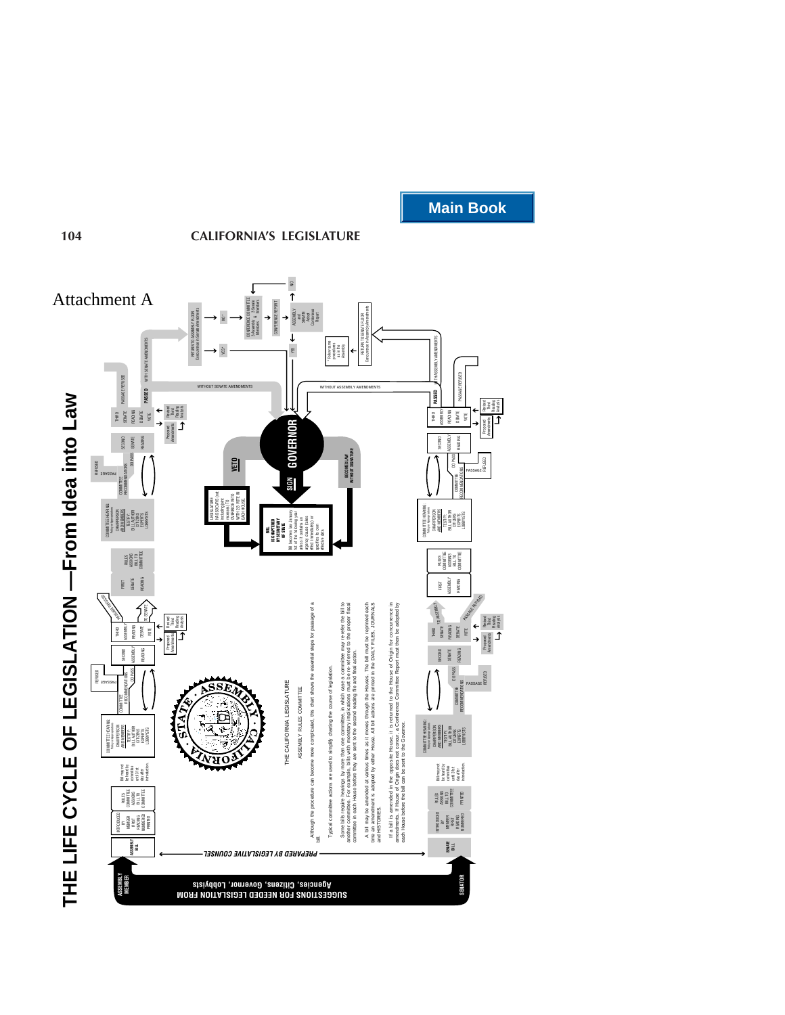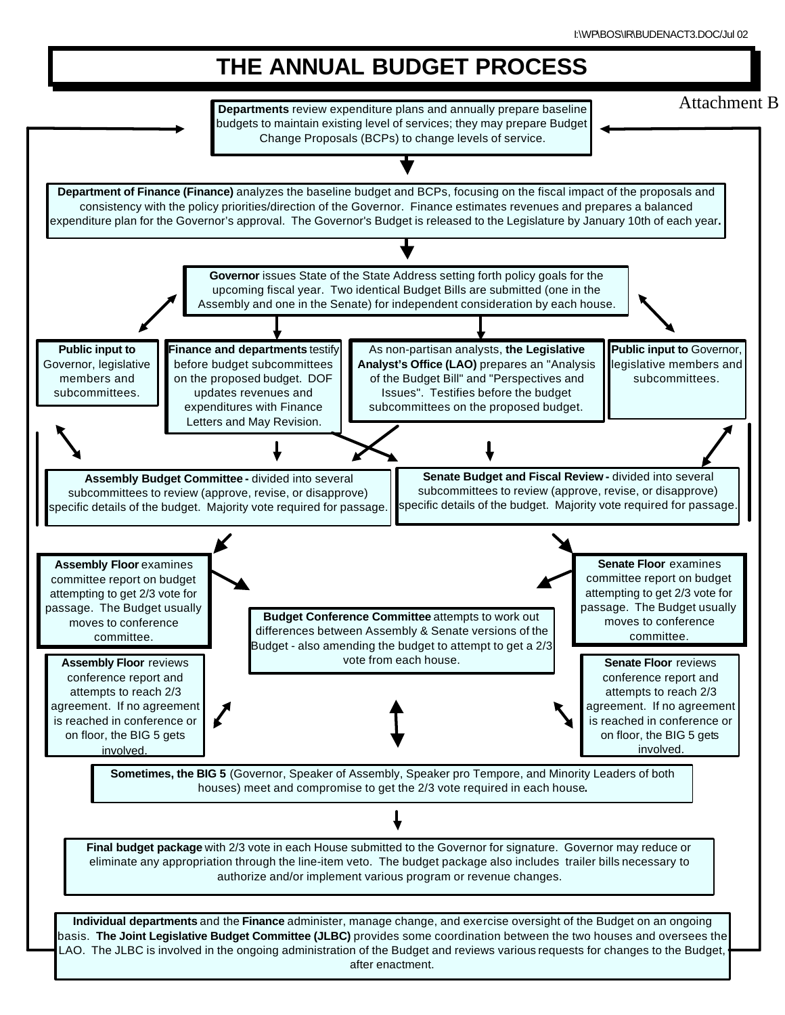<span id="page-5-0"></span>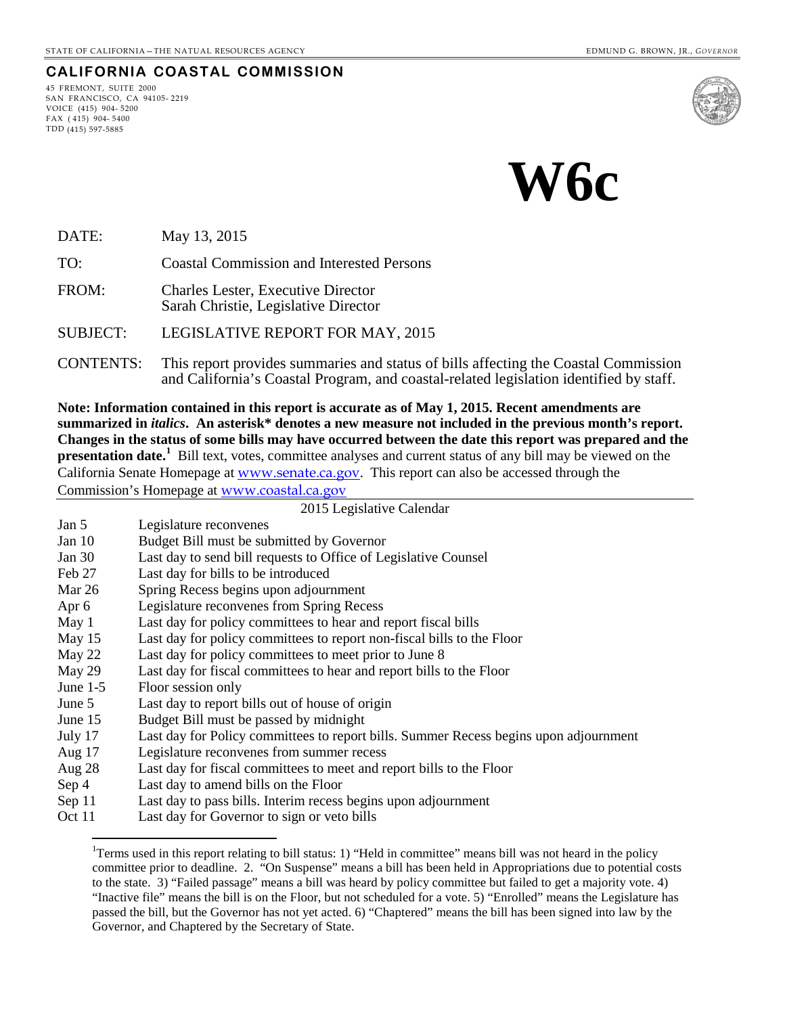# 45 FREMONT, SUITE 2000

<span id="page-6-0"></span>**CALIFORNIA COASTAL COMMISSION**

SAN FRANCISCO, CA 94105- 2219 VOICE (415) 904- 5200 FAX ( 415) 904- 5400 TDD (415) 597-5885



DATE: May 13, 2015

TO: Coastal Commission and Interested Persons

FROM: Charles Lester, Executive Director Sarah Christie, Legislative Director

SUBJECT: LEGISLATIVE REPORT FOR MAY, 2015

CONTENTS: This report provides summaries and status of bills affecting the Coastal Commission and California's Coastal Program, and coastal-related legislation identified by staff.

**Note: Information contained in this report is accurate as of May 1, 2015. Recent amendments are summarized in** *italics***. An asterisk\* denotes a new measure not included in the previous month's report. Changes in the status of some bills may have occurred between the date this report was prepared and the presentation date.**<sup>[1](#page-6-1)</sup> Bill text, votes, committee analyses and current status of any bill may be viewed on the California Senate Homepage at [www.senate.ca.gov](http://www.senate.ca.gov/). This report can also be accessed through the Commission's Homepage at [www.coastal.ca.gov](http://www.coastal.ca.gov/)

2015 Legislative Calendar

| Jan 5<br>Legislature reconvenes |  |
|---------------------------------|--|
|---------------------------------|--|

- Jan 10 Budget Bill must be submitted by Governor
- Jan 30 Last day to send bill requests to Office of Legislative Counsel
- Feb 27 Last day for bills to be introduced
- Mar 26 Spring Recess begins upon adjournment
- Apr 6 Legislature reconvenes from Spring Recess
- May 1 Last day for policy committees to hear and report fiscal bills
- May 15 Last day for policy committees to report non-fiscal bills to the Floor
- 
- May 22 Last day for policy committees to meet prior to June 8<br>May 29 Last day for fiscal committees to hear and report bills t Last day for fiscal committees to hear and report bills to the Floor
- June 1-5 Floor session only

 $\overline{a}$ 

- June 5 Last day to report bills out of house of origin
- June 15 Budget Bill must be passed by midnight
- July 17 Last day for Policy committees to report bills. Summer Recess begins upon adjournment
- Aug 17 Legislature reconvenes from summer recess
- Aug 28 Last day for fiscal committees to meet and report bills to the Floor
- Sep 4 Last day to amend bills on the Floor
- Sep 11 Last day to pass bills. Interim recess begins upon adjournment
- <span id="page-6-1"></span>Oct 11 Last day for Governor to sign or veto bills

<sup>&</sup>lt;sup>1</sup>Terms used in this report relating to bill status: 1) "Held in committee" means bill was not heard in the policy committee prior to deadline. 2. "On Suspense" means a bill has been held in Appropriations due to potential costs to the state. 3) "Failed passage" means a bill was heard by policy committee but failed to get a majority vote. 4) "Inactive file" means the bill is on the Floor, but not scheduled for a vote. 5) "Enrolled" means the Legislature has passed the bill, but the Governor has not yet acted. 6) "Chaptered" means the bill has been signed into law by the Governor, and Chaptered by the Secretary of State.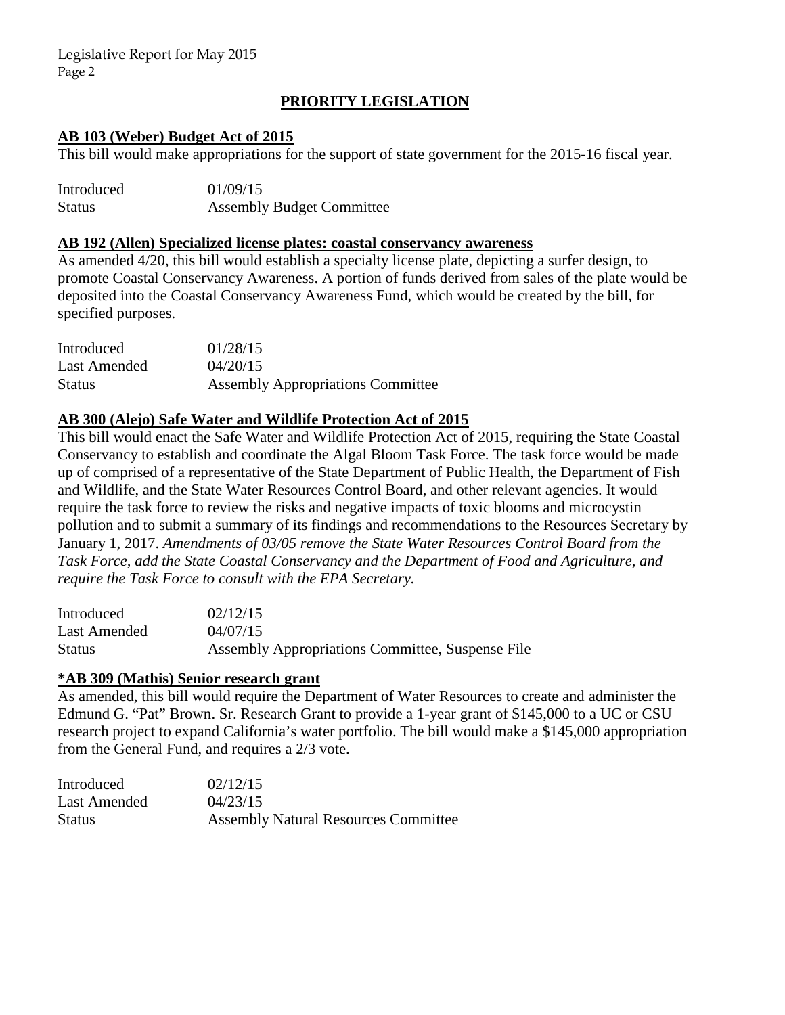# **PRIORITY LEGISLATION**

## **AB 103 (Weber) Budget Act of 2015**

This bill would make appropriations for the support of state government for the 2015-16 fiscal year.

| Introduced    | 01/09/15                         |
|---------------|----------------------------------|
| <b>Status</b> | <b>Assembly Budget Committee</b> |

#### **AB 192 (Allen) Specialized license plates: coastal conservancy awareness**

As amended 4/20, this bill would establish a specialty license plate, depicting a surfer design, to promote Coastal Conservancy Awareness. A portion of funds derived from sales of the plate would be deposited into the Coastal Conservancy Awareness Fund, which would be created by the bill, for specified purposes.

| Introduced    | 01/28/15                                 |
|---------------|------------------------------------------|
| Last Amended  | 04/20/15                                 |
| <b>Status</b> | <b>Assembly Appropriations Committee</b> |

## **AB 300 (Alejo) Safe Water and Wildlife Protection Act of 2015**

This bill would enact the Safe Water and Wildlife Protection Act of 2015, requiring the State Coastal Conservancy to establish and coordinate the Algal Bloom Task Force. The task force would be made up of comprised of a representative of the State Department of Public Health, the Department of Fish and Wildlife, and the State Water Resources Control Board, and other relevant agencies. It would require the task force to review the risks and negative impacts of toxic blooms and microcystin pollution and to submit a summary of its findings and recommendations to the Resources Secretary by January 1, 2017. *Amendments of 03/05 remove the State Water Resources Control Board from the Task Force, add the State Coastal Conservancy and the Department of Food and Agriculture, and require the Task Force to consult with the EPA Secretary.*

| Introduced   | 02/12/15                                         |
|--------------|--------------------------------------------------|
| Last Amended | 04/07/15                                         |
| Status       | Assembly Appropriations Committee, Suspense File |

#### **\*AB 309 (Mathis) Senior research grant**

As amended, this bill would require the Department of Water Resources to create and administer the Edmund G. "Pat" Brown. Sr. Research Grant to provide a 1-year grant of \$145,000 to a UC or CSU research project to expand California's water portfolio. The bill would make a \$145,000 appropriation from the General Fund, and requires a 2/3 vote.

| Introduced    | 02/12/15                                    |
|---------------|---------------------------------------------|
| Last Amended  | 04/23/15                                    |
| <b>Status</b> | <b>Assembly Natural Resources Committee</b> |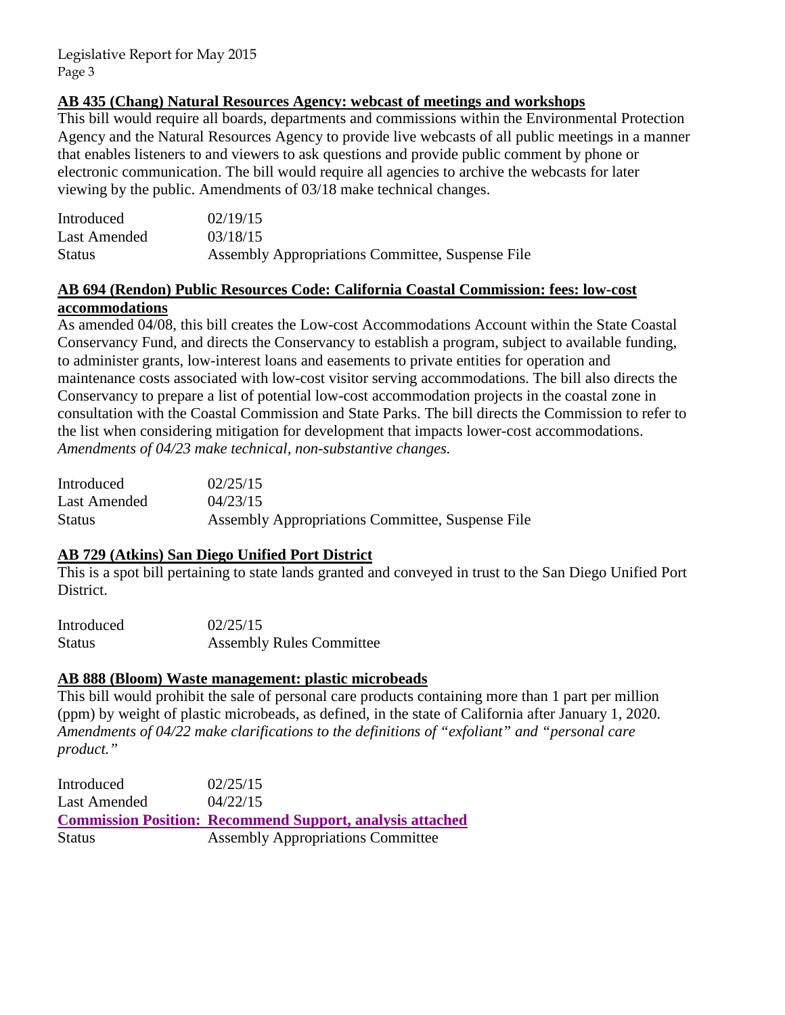# **AB 435 (Chang) Natural Resources Agency: webcast of meetings and workshops**

This bill would require all boards, departments and commissions within the Environmental Protection Agency and the Natural Resources Agency to provide live webcasts of all public meetings in a manner that enables listeners to and viewers to ask questions and provide public comment by phone or electronic communication. The bill would require all agencies to archive the webcasts for later viewing by the public. Amendments of 03/18 make technical changes.

| Introduced    | 02/19/15                                         |
|---------------|--------------------------------------------------|
| Last Amended  | 03/18/15                                         |
| <b>Status</b> | Assembly Appropriations Committee, Suspense File |

# **AB 694 (Rendon) Public Resources Code: California Coastal Commission: fees: low-cost accommodations**

As amended 04/08, this bill creates the Low-cost Accommodations Account within the State Coastal Conservancy Fund, and directs the Conservancy to establish a program, subject to available funding, to administer grants, low-interest loans and easements to private entities for operation and maintenance costs associated with low-cost visitor serving accommodations. The bill also directs the Conservancy to prepare a list of potential low-cost accommodation projects in the coastal zone in consultation with the Coastal Commission and State Parks. The bill directs the Commission to refer to the list when considering mitigation for development that impacts lower-cost accommodations. *Amendments of 04/23 make technical, non-substantive changes.* 

| Introduced   | 02/25/15                                         |
|--------------|--------------------------------------------------|
| Last Amended | 04/23/15                                         |
| Status       | Assembly Appropriations Committee, Suspense File |

# **AB 729 (Atkins) San Diego Unified Port District**

This is a spot bill pertaining to state lands granted and conveyed in trust to the San Diego Unified Port District.

| Introduced    | 02/25/15                        |
|---------------|---------------------------------|
| <b>Status</b> | <b>Assembly Rules Committee</b> |

# **AB 888 (Bloom) Waste management: plastic microbeads**

This bill would prohibit the sale of personal care products containing more than 1 part per million (ppm) by weight of plastic microbeads, as defined, in the state of California after January 1, 2020. *Amendments of 04/22 make clarifications to the definitions of "exfoliant" and "personal care product."* 

| Introduced    | 02/25/15                                                         |
|---------------|------------------------------------------------------------------|
| Last Amended  | 04/22/15                                                         |
|               | <b>Commission Position: Recommend Support, analysis attached</b> |
| <b>Status</b> | <b>Assembly Appropriations Committee</b>                         |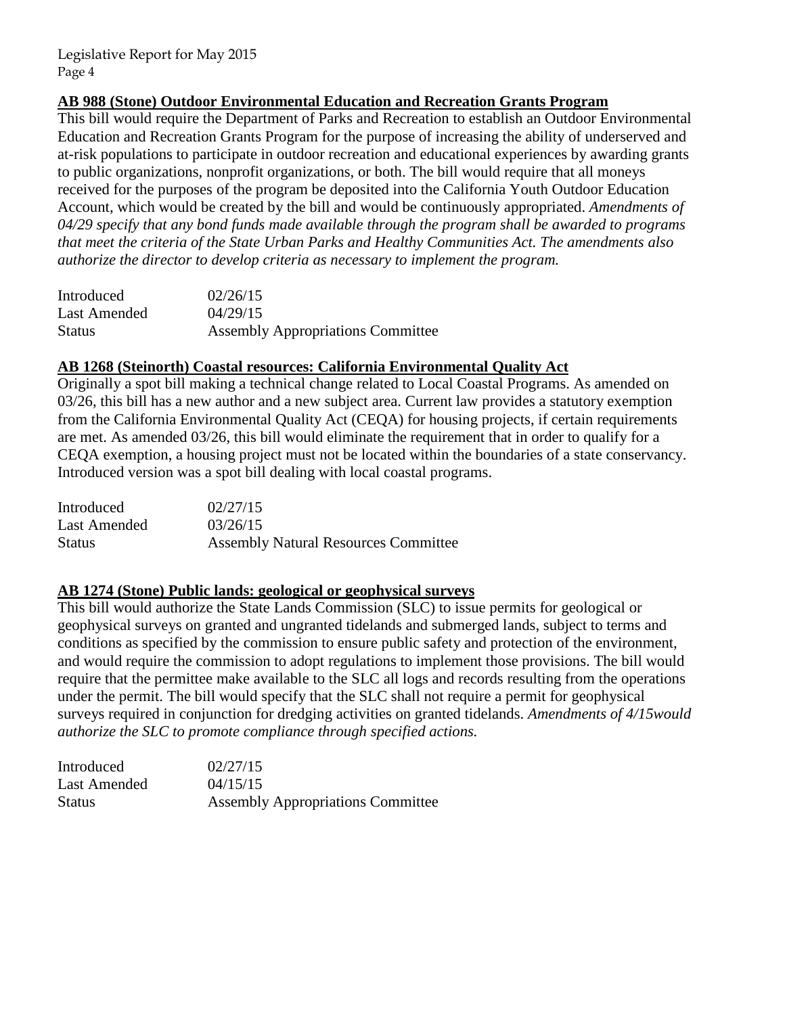# **AB 988 (Stone) Outdoor Environmental Education and Recreation Grants Program**

This bill would require the Department of Parks and Recreation to establish an Outdoor Environmental Education and Recreation Grants Program for the purpose of increasing the ability of underserved and at-risk populations to participate in outdoor recreation and educational experiences by awarding grants to public organizations, nonprofit organizations, or both. The bill would require that all moneys received for the purposes of the program be deposited into the California Youth Outdoor Education Account, which would be created by the bill and would be continuously appropriated. *Amendments of 04/29 specify that any bond funds made available through the program shall be awarded to programs that meet the criteria of the State Urban Parks and Healthy Communities Act. The amendments also authorize the director to develop criteria as necessary to implement the program.* 

| Introduced    | 02/26/15                                 |
|---------------|------------------------------------------|
| Last Amended  | 04/29/15                                 |
| <b>Status</b> | <b>Assembly Appropriations Committee</b> |

# **AB 1268 (Steinorth) Coastal resources: California Environmental Quality Act**

Originally a spot bill making a technical change related to Local Coastal Programs. As amended on 03/26, this bill has a new author and a new subject area. Current law provides a statutory exemption from the California Environmental Quality Act (CEQA) for housing projects, if certain requirements are met. As amended 03/26, this bill would eliminate the requirement that in order to qualify for a CEQA exemption, a housing project must not be located within the boundaries of a state conservancy. Introduced version was a spot bill dealing with local coastal programs.

| Introduced    | 02/27/15                                    |
|---------------|---------------------------------------------|
| Last Amended  | 03/26/15                                    |
| <b>Status</b> | <b>Assembly Natural Resources Committee</b> |

# **AB 1274 (Stone) Public lands: geological or geophysical surveys**

This bill would authorize the State Lands Commission (SLC) to issue permits for geological or geophysical surveys on granted and ungranted tidelands and submerged lands, subject to terms and conditions as specified by the commission to ensure public safety and protection of the environment, and would require the commission to adopt regulations to implement those provisions. The bill would require that the permittee make available to the SLC all logs and records resulting from the operations under the permit. The bill would specify that the SLC shall not require a permit for geophysical surveys required in conjunction for dredging activities on granted tidelands. *Amendments of 4/15would authorize the SLC to promote compliance through specified actions.* 

| Introduced   | 02/27/15                                 |
|--------------|------------------------------------------|
| Last Amended | 04/15/15                                 |
| Status       | <b>Assembly Appropriations Committee</b> |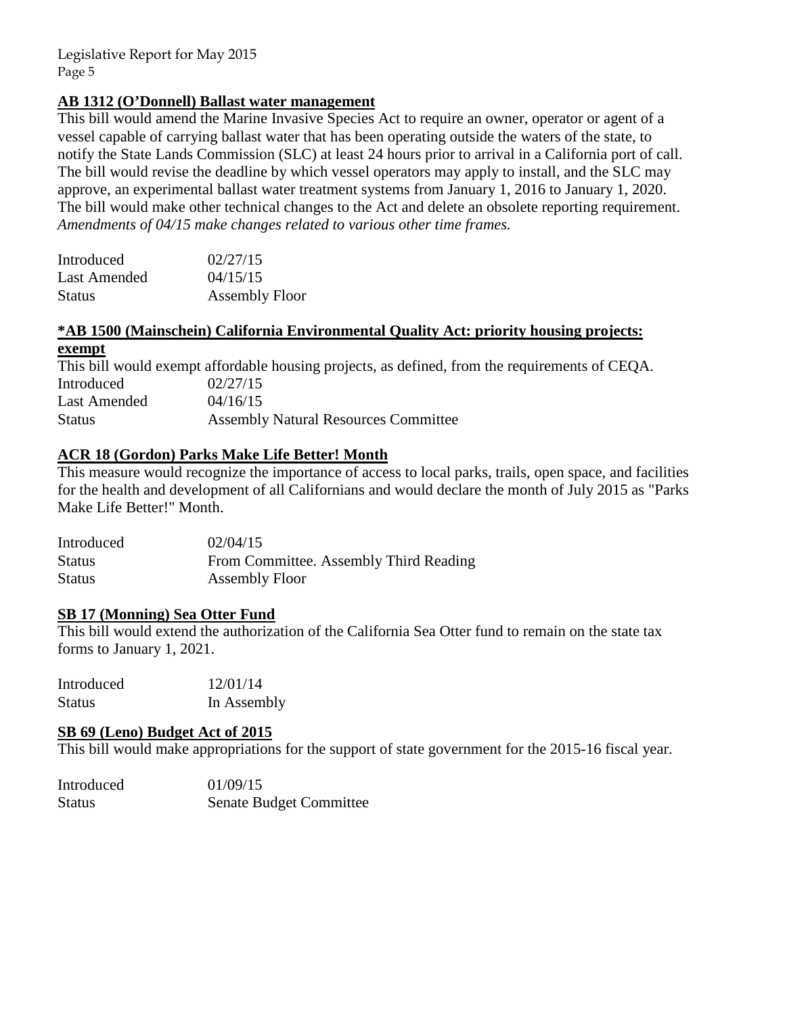# **AB 1312 (O'Donnell) Ballast water management**

This bill would amend the Marine Invasive Species Act to require an owner, operator or agent of a vessel capable of carrying ballast water that has been operating outside the waters of the state, to notify the State Lands Commission (SLC) at least 24 hours prior to arrival in a California port of call. The bill would revise the deadline by which vessel operators may apply to install, and the SLC may approve, an experimental ballast water treatment systems from January 1, 2016 to January 1, 2020. The bill would make other technical changes to the Act and delete an obsolete reporting requirement. *Amendments of 04/15 make changes related to various other time frames.*

| Introduced          | 02/27/15              |
|---------------------|-----------------------|
| <b>Last Amended</b> | 04/15/15              |
| <b>Status</b>       | <b>Assembly Floor</b> |

# **\*AB 1500 (Mainschein) California Environmental Quality Act: priority housing projects: exempt**

This bill would exempt affordable housing projects, as defined, from the requirements of CEQA. Introduced 02/27/15 Last Amended  $04/16/15$ Status Assembly Natural Resources Committee

# **ACR 18 (Gordon) Parks Make Life Better! Month**

This measure would recognize the importance of access to local parks, trails, open space, and facilities for the health and development of all Californians and would declare the month of July 2015 as "Parks Make Life Better!" Month.

| Introduced    | 02/04/15                               |
|---------------|----------------------------------------|
| <b>Status</b> | From Committee. Assembly Third Reading |
| <b>Status</b> | Assembly Floor                         |

# **SB 17 (Monning) Sea Otter Fund**

This bill would extend the authorization of the California Sea Otter fund to remain on the state tax forms to January 1, 2021.

| Introduced    | 12/01/14    |
|---------------|-------------|
| <b>Status</b> | In Assembly |

# **SB 69 (Leno) Budget Act of 2015**

This bill would make appropriations for the support of state government for the 2015-16 fiscal year.

| Introduced | 01/09/15                       |
|------------|--------------------------------|
| Status     | <b>Senate Budget Committee</b> |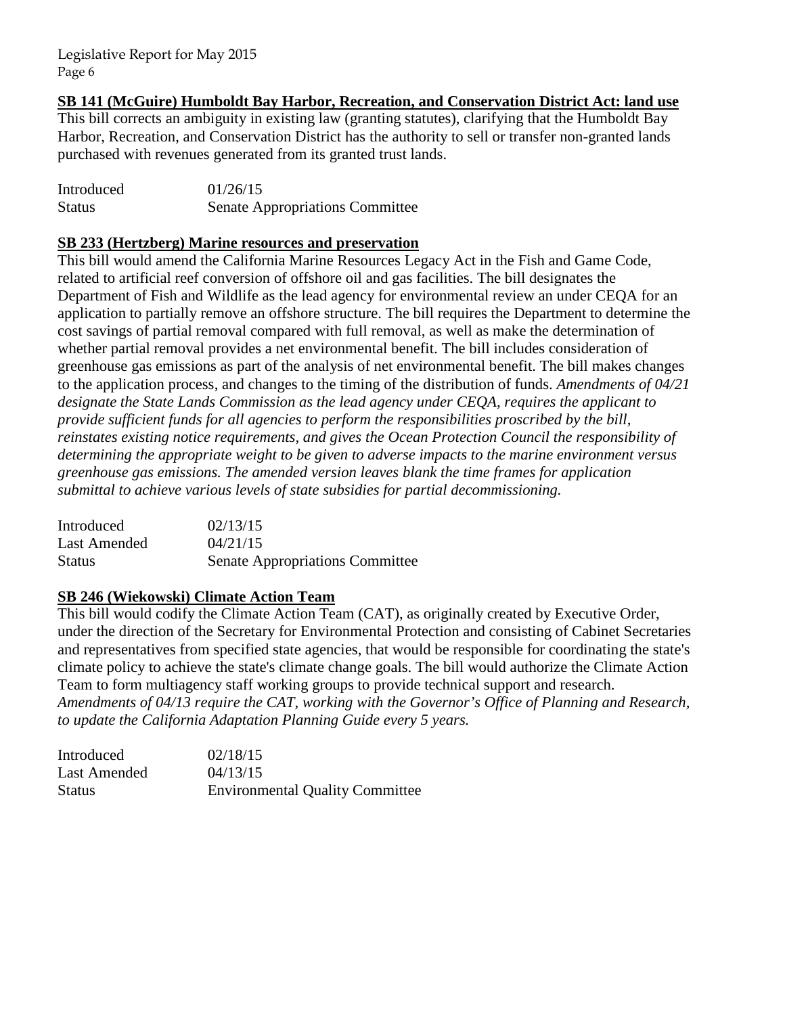**SB 141 (McGuire) Humboldt Bay Harbor, Recreation, and Conservation District Act: land use** 

This bill corrects an ambiguity in existing law (granting statutes), clarifying that the Humboldt Bay Harbor, Recreation, and Conservation District has the authority to sell or transfer non-granted lands purchased with revenues generated from its granted trust lands.

| Introduced    | 01/26/15                               |
|---------------|----------------------------------------|
| <b>Status</b> | <b>Senate Appropriations Committee</b> |

# **SB 233 (Hertzberg) Marine resources and preservation**

This bill would amend the California Marine Resources Legacy Act in the Fish and Game Code, related to artificial reef conversion of offshore oil and gas facilities. The bill designates the Department of Fish and Wildlife as the lead agency for environmental review an under CEQA for an application to partially remove an offshore structure. The bill requires the Department to determine the cost savings of partial removal compared with full removal, as well as make the determination of whether partial removal provides a net environmental benefit. The bill includes consideration of greenhouse gas emissions as part of the analysis of net environmental benefit. The bill makes changes to the application process, and changes to the timing of the distribution of funds. *Amendments of 04/21 designate the State Lands Commission as the lead agency under CEQA, requires the applicant to provide sufficient funds for all agencies to perform the responsibilities proscribed by the bill, reinstates existing notice requirements, and gives the Ocean Protection Council the responsibility of determining the appropriate weight to be given to adverse impacts to the marine environment versus greenhouse gas emissions. The amended version leaves blank the time frames for application submittal to achieve various levels of state subsidies for partial decommissioning.* 

| Introduced    | 02/13/15                               |
|---------------|----------------------------------------|
| Last Amended  | 04/21/15                               |
| <b>Status</b> | <b>Senate Appropriations Committee</b> |

# **SB 246 (Wiekowski) Climate Action Team**

This bill would codify the Climate Action Team (CAT), as originally created by Executive Order, under the direction of the Secretary for Environmental Protection and consisting of Cabinet Secretaries and representatives from specified state agencies, that would be responsible for coordinating the state's climate policy to achieve the state's climate change goals. The bill would authorize the Climate Action Team to form multiagency staff working groups to provide technical support and research. *Amendments of 04/13 require the CAT, working with the Governor's Office of Planning and Research, to update the California Adaptation Planning Guide every 5 years.*

| Introduced    | 02/18/15                               |
|---------------|----------------------------------------|
| Last Amended  | 04/13/15                               |
| <b>Status</b> | <b>Environmental Quality Committee</b> |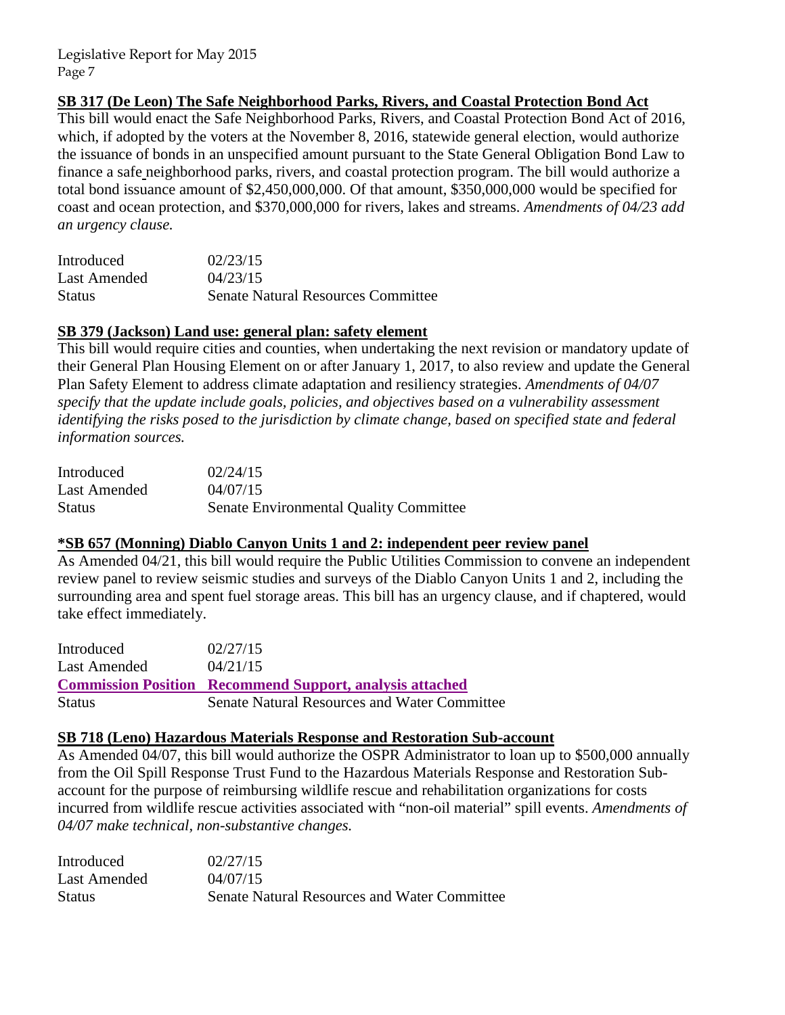# **SB 317 (De Leon) The Safe Neighborhood Parks, Rivers, and Coastal Protection Bond Act**

This bill would enact the Safe Neighborhood Parks, Rivers, and Coastal Protection Bond Act of 2016, which, if adopted by the voters at the November 8, 2016, statewide general election, would authorize the issuance of bonds in an unspecified amount pursuant to the State General Obligation Bond Law to finance a safe neighborhood parks, rivers, and coastal protection program. The bill would authorize a total bond issuance amount of \$2,450,000,000. Of that amount, \$350,000,000 would be specified for coast and ocean protection, and \$370,000,000 for rivers, lakes and streams. *Amendments of 04/23 add an urgency clause.* 

| Introduced    | 02/23/15                                  |
|---------------|-------------------------------------------|
| Last Amended  | 04/23/15                                  |
| <b>Status</b> | <b>Senate Natural Resources Committee</b> |

# **SB 379 (Jackson) Land use: general plan: safety element**

This bill would require cities and counties, when undertaking the next revision or mandatory update of their General Plan Housing Element on or after January 1, 2017, to also review and update the General Plan Safety Element to address climate adaptation and resiliency strategies. *Amendments of 04/07 specify that the update include goals, policies, and objectives based on a vulnerability assessment identifying the risks posed to the jurisdiction by climate change, based on specified state and federal information sources.* 

| Introduced    | 02/24/15                                      |
|---------------|-----------------------------------------------|
| Last Amended  | 04/07/15                                      |
| <b>Status</b> | <b>Senate Environmental Quality Committee</b> |

# **\*SB 657 (Monning) Diablo Canyon Units 1 and 2: independent peer review panel**

As Amended 04/21, this bill would require the Public Utilities Commission to convene an independent review panel to review seismic studies and surveys of the Diablo Canyon Units 1 and 2, including the surrounding area and spent fuel storage areas. This bill has an urgency clause, and if chaptered, would take effect immediately.

| Introduced   | 02/27/15                                                        |
|--------------|-----------------------------------------------------------------|
| Last Amended | 04/21/15                                                        |
|              | <b>Commission Position Recommend Support, analysis attached</b> |
|              |                                                                 |

# **SB 718 (Leno) Hazardous Materials Response and Restoration Sub-account**

As Amended 04/07, this bill would authorize the OSPR Administrator to loan up to \$500,000 annually from the Oil Spill Response Trust Fund to the Hazardous Materials Response and Restoration Subaccount for the purpose of reimbursing wildlife rescue and rehabilitation organizations for costs incurred from wildlife rescue activities associated with "non-oil material" spill events. *Amendments of 04/07 make technical, non-substantive changes.* 

| Introduced    | 02/27/15                                     |
|---------------|----------------------------------------------|
| Last Amended  | 04/07/15                                     |
| <b>Status</b> | Senate Natural Resources and Water Committee |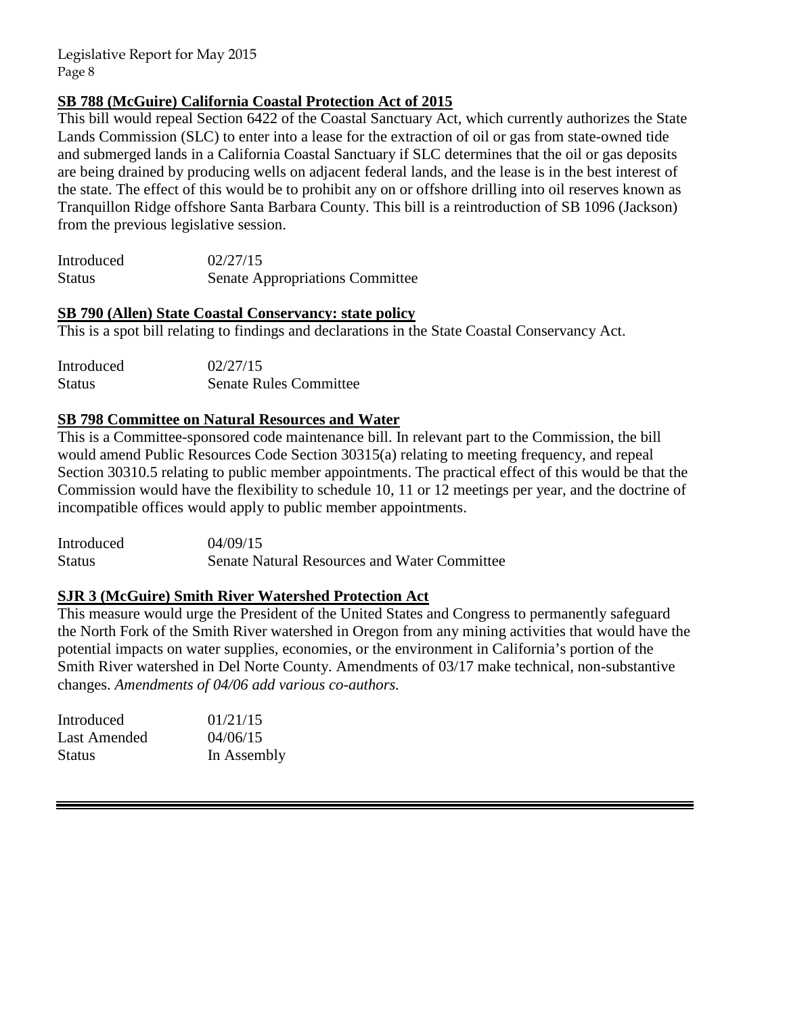# **SB 788 (McGuire) California Coastal Protection Act of 2015**

This bill would repeal Section 6422 of the Coastal Sanctuary Act, which currently authorizes the State Lands Commission (SLC) to enter into a lease for the extraction of oil or gas from state-owned tide and submerged lands in a California Coastal Sanctuary if SLC determines that the oil or gas deposits are being drained by producing wells on adjacent federal lands, and the lease is in the best interest of the state. The effect of this would be to prohibit any on or offshore drilling into oil reserves known as Tranquillon Ridge offshore Santa Barbara County. This bill is a reintroduction of SB 1096 (Jackson) from the previous legislative session.

| Introduced    | 02/27/15                               |
|---------------|----------------------------------------|
| <b>Status</b> | <b>Senate Appropriations Committee</b> |

# **SB 790 (Allen) State Coastal Conservancy: state policy**

This is a spot bill relating to findings and declarations in the State Coastal Conservancy Act.

| Introduced    | 02/27/15                      |
|---------------|-------------------------------|
| <b>Status</b> | <b>Senate Rules Committee</b> |

# **SB 798 Committee on Natural Resources and Water**

This is a Committee-sponsored code maintenance bill. In relevant part to the Commission, the bill would amend Public Resources Code Section 30315(a) relating to meeting frequency, and repeal Section 30310.5 relating to public member appointments. The practical effect of this would be that the Commission would have the flexibility to schedule 10, 11 or 12 meetings per year, and the doctrine of incompatible offices would apply to public member appointments.

| Introduced    | 04/09/15                                            |
|---------------|-----------------------------------------------------|
| <b>Status</b> | <b>Senate Natural Resources and Water Committee</b> |

# **SJR 3 (McGuire) Smith River Watershed Protection Act**

This measure would urge the President of the United States and Congress to permanently safeguard the North Fork of the Smith River watershed in Oregon from any mining activities that would have the potential impacts on water supplies, economies, or the environment in California's portion of the Smith River watershed in Del Norte County. Amendments of 03/17 make technical, non-substantive changes. *Amendments of 04/06 add various co-authors.*

| Introduced    | 01/21/15    |
|---------------|-------------|
| Last Amended  | 04/06/15    |
| <b>Status</b> | In Assembly |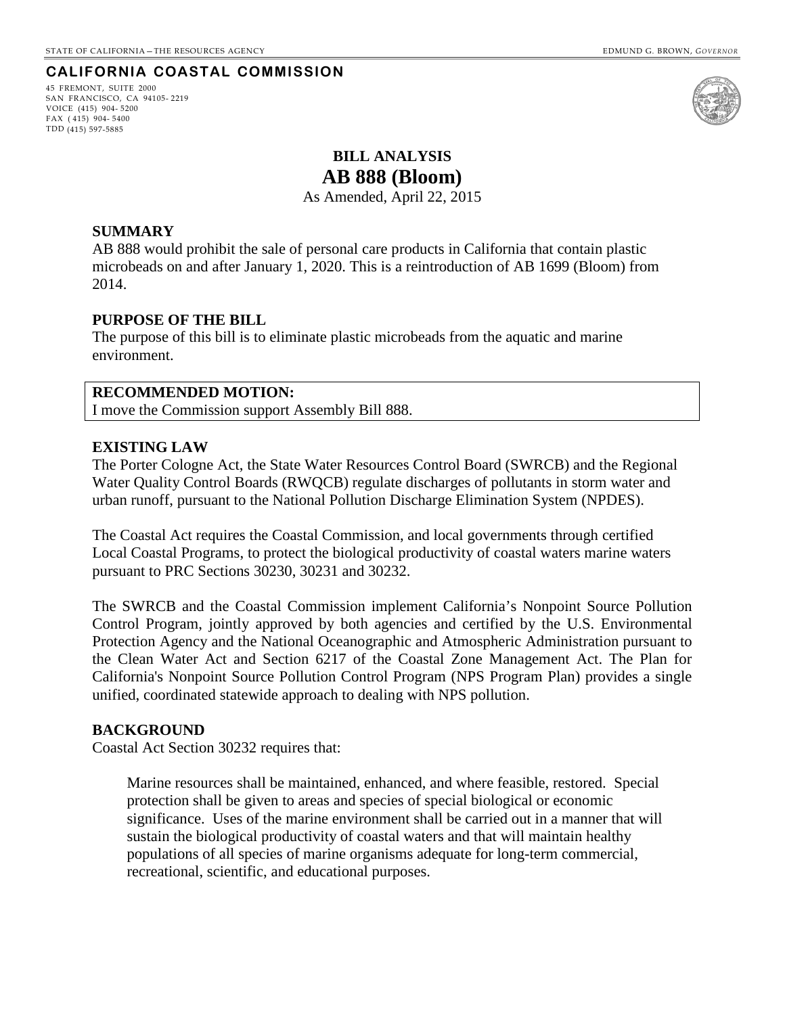## **CALIFORNIA COASTAL COMMISSION**

45 FREMONT, SUITE 2000 SAN FRANCISCO, CA 94105- 2219 VOICE (415) 904- 5200 FAX ( 415) 904- 5400 TDD (415) 597-5885



# **BILL ANALYSIS AB 888 (Bloom)**

As Amended, April 22, 2015

### <span id="page-14-0"></span>**SUMMARY**

AB 888 would prohibit the sale of personal care products in California that contain plastic microbeads on and after January 1, 2020. This is a reintroduction of AB 1699 (Bloom) from 2014.

#### **PURPOSE OF THE BILL**

The purpose of this bill is to eliminate plastic microbeads from the aquatic and marine environment.

#### **RECOMMENDED MOTION:**

I move the Commission support Assembly Bill 888.

#### **EXISTING LAW**

The Porter Cologne Act, the State Water Resources Control Board (SWRCB) and the Regional Water Quality Control Boards (RWQCB) regulate discharges of pollutants in storm water and urban runoff, pursuant to the National Pollution Discharge Elimination System (NPDES).

The Coastal Act requires the Coastal Commission, and local governments through certified Local Coastal Programs, to protect the biological productivity of coastal waters marine waters pursuant to PRC Sections 30230, 30231 and 30232.

The SWRCB and the Coastal Commission implement California's Nonpoint Source Pollution Control Program, jointly approved by both agencies and certified by the U.S. Environmental Protection Agency and the National Oceanographic and Atmospheric Administration pursuant to the Clean Water Act and Section 6217 of the Coastal Zone Management Act. The Plan for California's Nonpoint Source Pollution Control Program (NPS Program Plan) provides a single unified, coordinated statewide approach to dealing with NPS pollution.

#### **BACKGROUND**

Coastal Act Section 30232 requires that:

Marine resources shall be maintained, enhanced, and where feasible, restored. Special protection shall be given to areas and species of special biological or economic significance. Uses of the marine environment shall be carried out in a manner that will sustain the biological productivity of coastal waters and that will maintain healthy populations of all species of marine organisms adequate for long-term commercial, recreational, scientific, and educational purposes.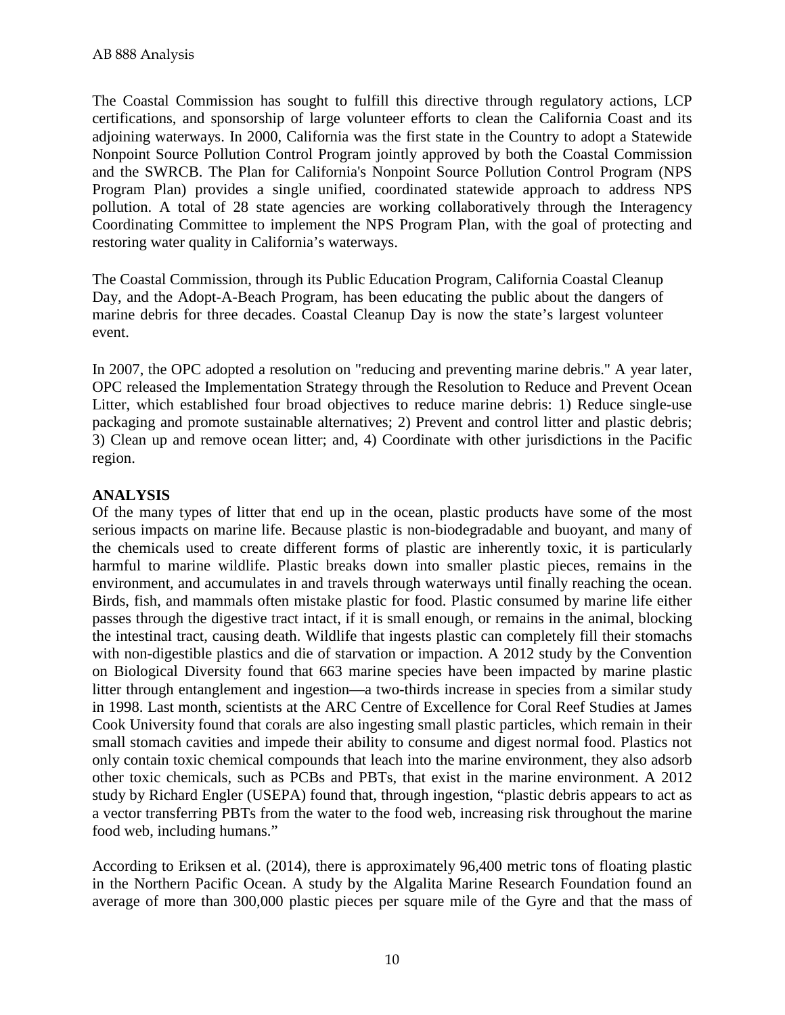The Coastal Commission has sought to fulfill this directive through regulatory actions, LCP certifications, and sponsorship of large volunteer efforts to clean the California Coast and its adjoining waterways. In 2000, California was the first state in the Country to adopt a Statewide Nonpoint Source Pollution Control Program jointly approved by both the Coastal Commission and the SWRCB. The Plan for California's Nonpoint Source Pollution Control Program (NPS Program Plan) provides a single unified, coordinated statewide approach to address NPS pollution. A total of 28 state agencies are working collaboratively through the Interagency Coordinating Committee to implement the NPS Program Plan, with the goal of protecting and restoring water quality in California's waterways.

The Coastal Commission, through its Public Education Program, California Coastal Cleanup Day, and the Adopt-A-Beach Program, has been educating the public about the dangers of marine debris for three decades. Coastal Cleanup Day is now the state's largest volunteer event.

In 2007, the OPC adopted a resolution on "reducing and preventing marine debris." A year later, OPC released the Implementation Strategy through the Resolution to Reduce and Prevent Ocean Litter, which established four broad objectives to reduce marine debris: 1) Reduce single-use packaging and promote sustainable alternatives; 2) Prevent and control litter and plastic debris; 3) Clean up and remove ocean litter; and, 4) Coordinate with other jurisdictions in the Pacific region.

# **ANALYSIS**

Of the many types of litter that end up in the ocean, plastic products have some of the most serious impacts on marine life. Because plastic is non-biodegradable and buoyant, and many of the chemicals used to create different forms of plastic are inherently toxic, it is particularly harmful to marine wildlife. Plastic breaks down into smaller plastic pieces, remains in the environment, and accumulates in and travels through waterways until finally reaching the ocean. Birds, fish, and mammals often mistake plastic for food. Plastic consumed by marine life either passes through the digestive tract intact, if it is small enough, or remains in the animal, blocking the intestinal tract, causing death. Wildlife that ingests plastic can completely fill their stomachs with non-digestible plastics and die of starvation or impaction. A 2012 study by the Convention on Biological Diversity found that 663 marine species have been impacted by marine plastic litter through entanglement and ingestion—a two-thirds increase in species from a similar study in 1998. Last month, scientists at the ARC Centre of Excellence for Coral Reef Studies at James Cook University found that corals are also ingesting small plastic particles, which remain in their small stomach cavities and impede their ability to consume and digest normal food. Plastics not only contain toxic chemical compounds that leach into the marine environment, they also adsorb other toxic chemicals, such as PCBs and PBTs, that exist in the marine environment. A 2012 study by Richard Engler (USEPA) found that, through ingestion, "plastic debris appears to act as a vector transferring PBTs from the water to the food web, increasing risk throughout the marine food web, including humans."

According to Eriksen et al. (2014), there is approximately 96,400 metric tons of floating plastic in the Northern Pacific Ocean. A study by the Algalita Marine Research Foundation found an average of more than 300,000 plastic pieces per square mile of the Gyre and that the mass of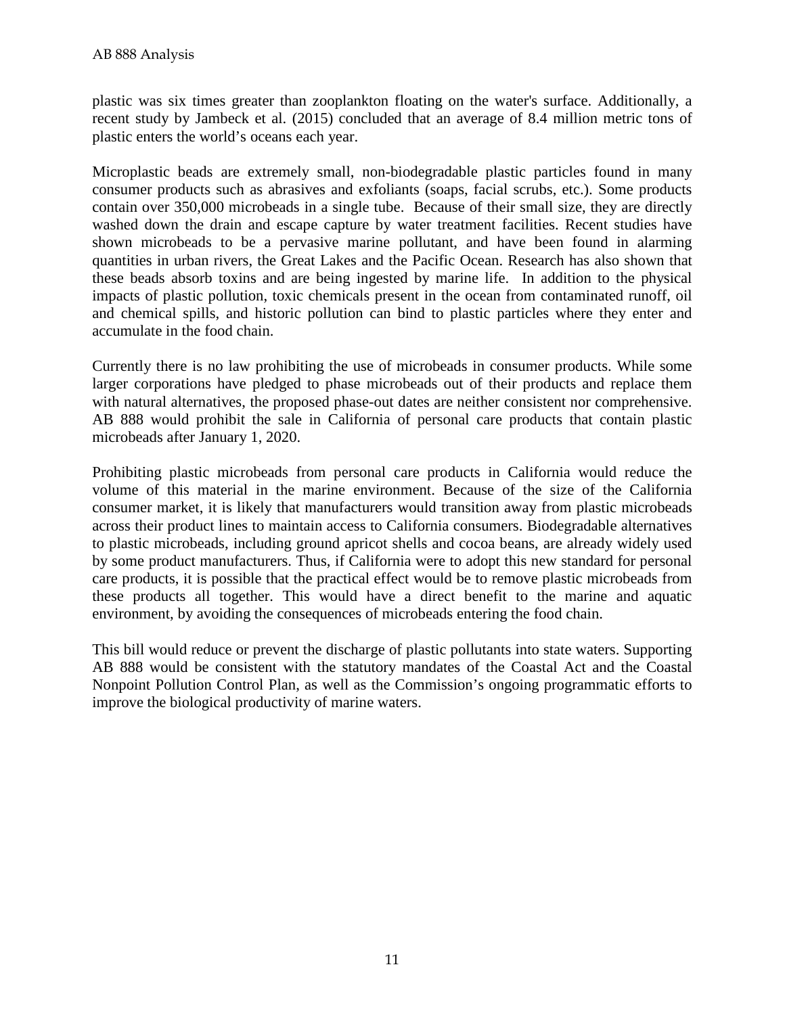plastic was six times greater than zooplankton floating on the water's surface. Additionally, a recent study by Jambeck et al. (2015) concluded that an average of 8.4 million metric tons of plastic enters the world's oceans each year.

Microplastic beads are extremely small, non-biodegradable plastic particles found in many consumer products such as abrasives and exfoliants (soaps, facial scrubs, etc.). Some products contain over 350,000 microbeads in a single tube. Because of their small size, they are directly washed down the drain and escape capture by water treatment facilities. Recent studies have shown microbeads to be a pervasive marine pollutant, and have been found in alarming quantities in urban rivers, the Great Lakes and the Pacific Ocean. Research has also shown that these beads absorb toxins and are being ingested by marine life. In addition to the physical impacts of plastic pollution, toxic chemicals present in the ocean from contaminated runoff, oil and chemical spills, and historic pollution can bind to plastic particles where they enter and accumulate in the food chain.

Currently there is no law prohibiting the use of microbeads in consumer products. While some larger corporations have pledged to phase microbeads out of their products and replace them with natural alternatives, the proposed phase-out dates are neither consistent nor comprehensive. AB 888 would prohibit the sale in California of personal care products that contain plastic microbeads after January 1, 2020.

Prohibiting plastic microbeads from personal care products in California would reduce the volume of this material in the marine environment. Because of the size of the California consumer market, it is likely that manufacturers would transition away from plastic microbeads across their product lines to maintain access to California consumers. Biodegradable alternatives to plastic microbeads, including ground apricot shells and cocoa beans, are already widely used by some product manufacturers. Thus, if California were to adopt this new standard for personal care products, it is possible that the practical effect would be to remove plastic microbeads from these products all together. This would have a direct benefit to the marine and aquatic environment, by avoiding the consequences of microbeads entering the food chain.

This bill would reduce or prevent the discharge of plastic pollutants into state waters. Supporting AB 888 would be consistent with the statutory mandates of the Coastal Act and the Coastal Nonpoint Pollution Control Plan, as well as the Commission's ongoing programmatic efforts to improve the biological productivity of marine waters.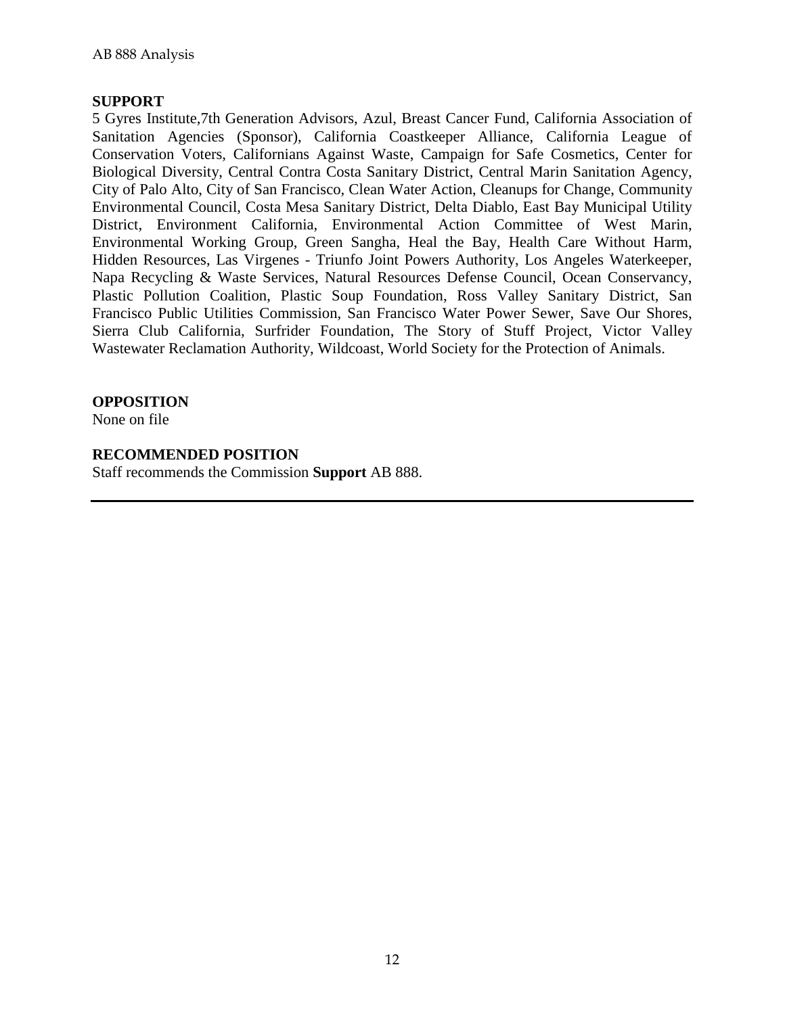# **SUPPORT**

5 Gyres Institute,7th Generation Advisors, Azul, Breast Cancer Fund, California Association of Sanitation Agencies (Sponsor), California Coastkeeper Alliance, California League of Conservation Voters, Californians Against Waste, Campaign for Safe Cosmetics, Center for Biological Diversity, Central Contra Costa Sanitary District, Central Marin Sanitation Agency, City of Palo Alto, City of San Francisco, Clean Water Action, Cleanups for Change, Community Environmental Council, Costa Mesa Sanitary District, Delta Diablo, East Bay Municipal Utility District, Environment California, Environmental Action Committee of West Marin, Environmental Working Group, Green Sangha, Heal the Bay, Health Care Without Harm, Hidden Resources, Las Virgenes - Triunfo Joint Powers Authority, Los Angeles Waterkeeper, Napa Recycling & Waste Services, Natural Resources Defense Council, Ocean Conservancy, Plastic Pollution Coalition, Plastic Soup Foundation, Ross Valley Sanitary District, San Francisco Public Utilities Commission, San Francisco Water Power Sewer, Save Our Shores, Sierra Club California, Surfrider Foundation, The Story of Stuff Project, Victor Valley Wastewater Reclamation Authority, Wildcoast, World Society for the Protection of Animals.

# **OPPOSITION**

None on file

# **RECOMMENDED POSITION**

Staff recommends the Commission **Support** AB 888.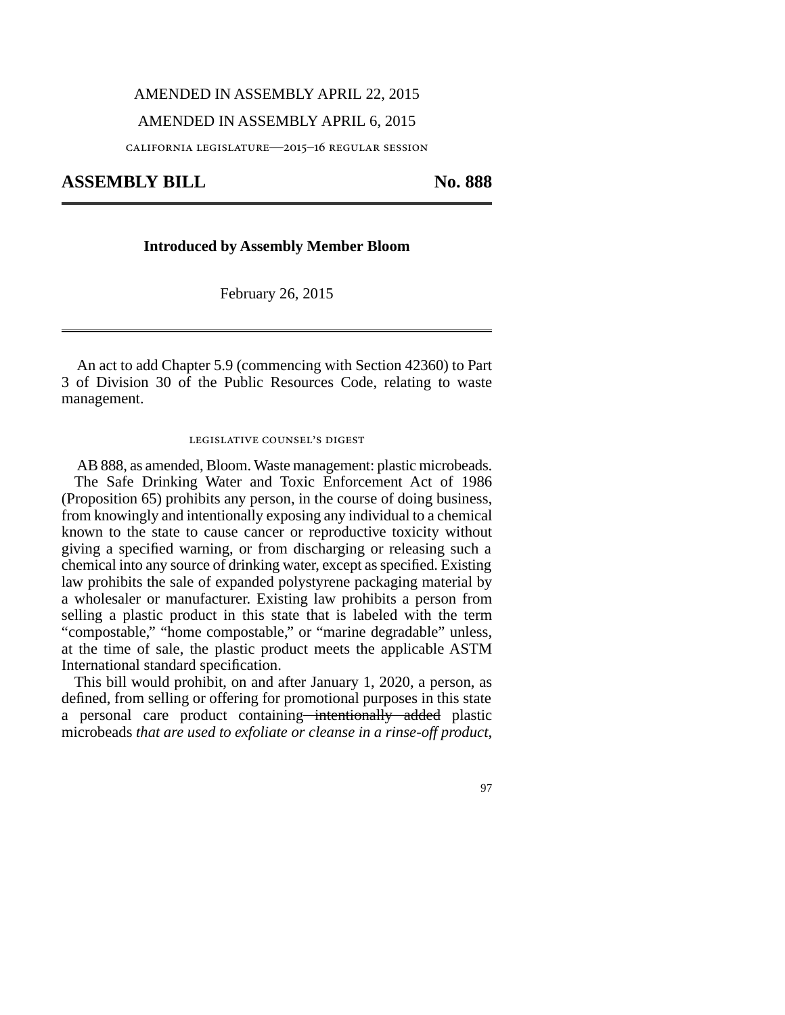#### AMENDED IN ASSEMBLY APRIL 22, 2015

#### AMENDED IN ASSEMBLY APRIL 6, 2015

california legislature—2015–16 regular session

ASSEMBLY BILL No. 888

#### **Introduced by Assembly Member Bloom**

February 26, 2015

An act to add Chapter 5.9 (commencing with Section 42360) to Part 3 of Division 30 of the Public Resources Code, relating to waste management.

#### legislative counsel's digest

AB 888, as amended, Bloom. Waste management: plastic microbeads. The Safe Drinking Water and Toxic Enforcement Act of 1986 (Proposition 65) prohibits any person, in the course of doing business, from knowingly and intentionally exposing any individual to a chemical known to the state to cause cancer or reproductive toxicity without giving a specified warning, or from discharging or releasing such a chemical into any source of drinking water, except as specified. Existing law prohibits the sale of expanded polystyrene packaging material by a wholesaler or manufacturer. Existing law prohibits a person from selling a plastic product in this state that is labeled with the term "compostable," "home compostable," or "marine degradable" unless, at the time of sale, the plastic product meets the applicable ASTM International standard specification.

This bill would prohibit, on and after January 1, 2020, a person, as defined, from selling or offering for promotional purposes in this state a personal care product containing—intentionally added plastic microbeads *that are used to exfoliate or cleanse in a rinse-off product*,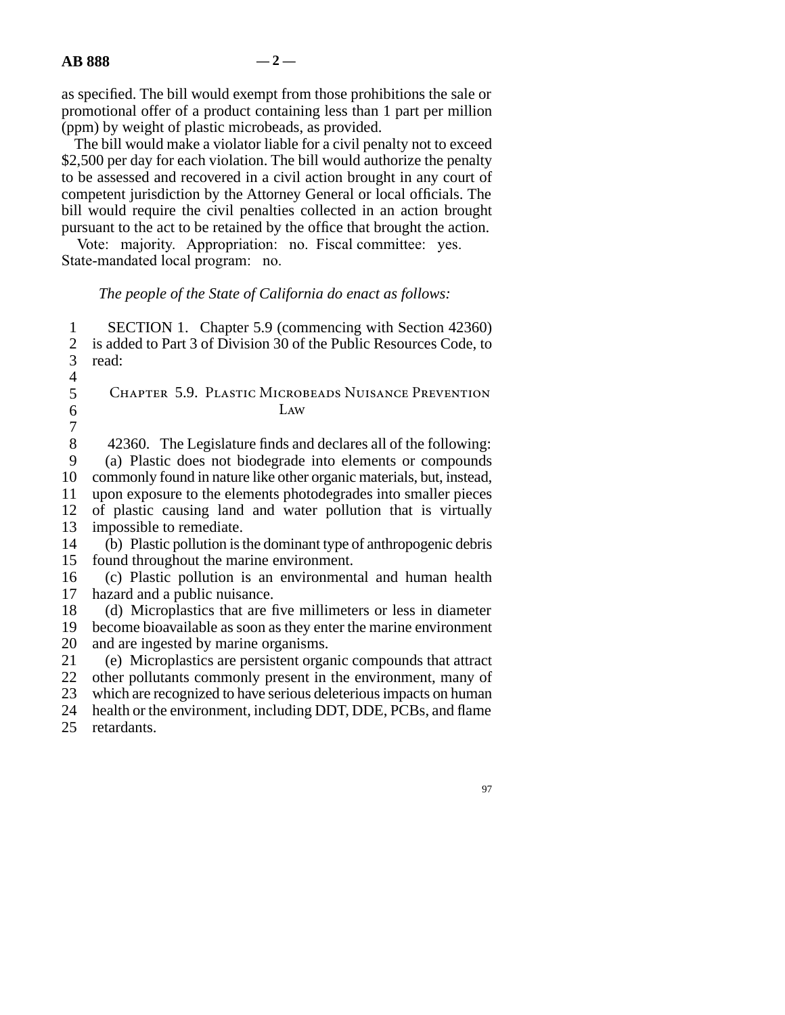as specified. The bill would exempt from those prohibitions the sale or promotional offer of a product containing less than 1 part per million (ppm) by weight of plastic microbeads, as provided.

The bill would make a violator liable for a civil penalty not to exceed \$2,500 per day for each violation. The bill would authorize the penalty to be assessed and recovered in a civil action brought in any court of competent jurisdiction by the Attorney General or local officials. The bill would require the civil penalties collected in an action brought pursuant to the act to be retained by the office that brought the action.

Vote: majority. Appropriation: no. Fiscal committee: yes. State-mandated local program: no.

## *The people of the State of California do enact as follows:*

1 SECTION 1. Chapter 5.9 (commencing with Section 42360) 2 is added to Part 3 of Division 30 of the Public Resources Code, to read: read:  $\overline{4}$ 5 CHAPTER 5.9. PLASTIC MICROBEADS NUISANCE PREVENTION  $\delta$  Law  $\overline{7}$ 8 42360. The Legislature finds and declares all of the following: 9 (a) Plastic does not biodegrade into elements or compounds 10 commonly found in nature like other organic materials, but, instead, 11 upon exposure to the elements photodegrades into smaller pieces 12 of plastic causing land and water pollution that is virtually 13 impossible to remediate. 14 (b) Plastic pollution is the dominant type of anthropogenic debris 15 found throughout the marine environment. 16 (c) Plastic pollution is an environmental and human health 17 hazard and a public nuisance. 18 (d) Microplastics that are five millimeters or less in diameter 19 become bioavailable as soon as they enter the marine environment

20 and are ingested by marine organisms.

21 (e) Microplastics are persistent organic compounds that attract 22 other pollutants commonly present in the environment, many of other pollutants commonly present in the environment, many of 23 which are recognized to have serious deleterious impacts on human 24 health or the environment, including DDT, DDE, PCBs, and flame

25 retardants.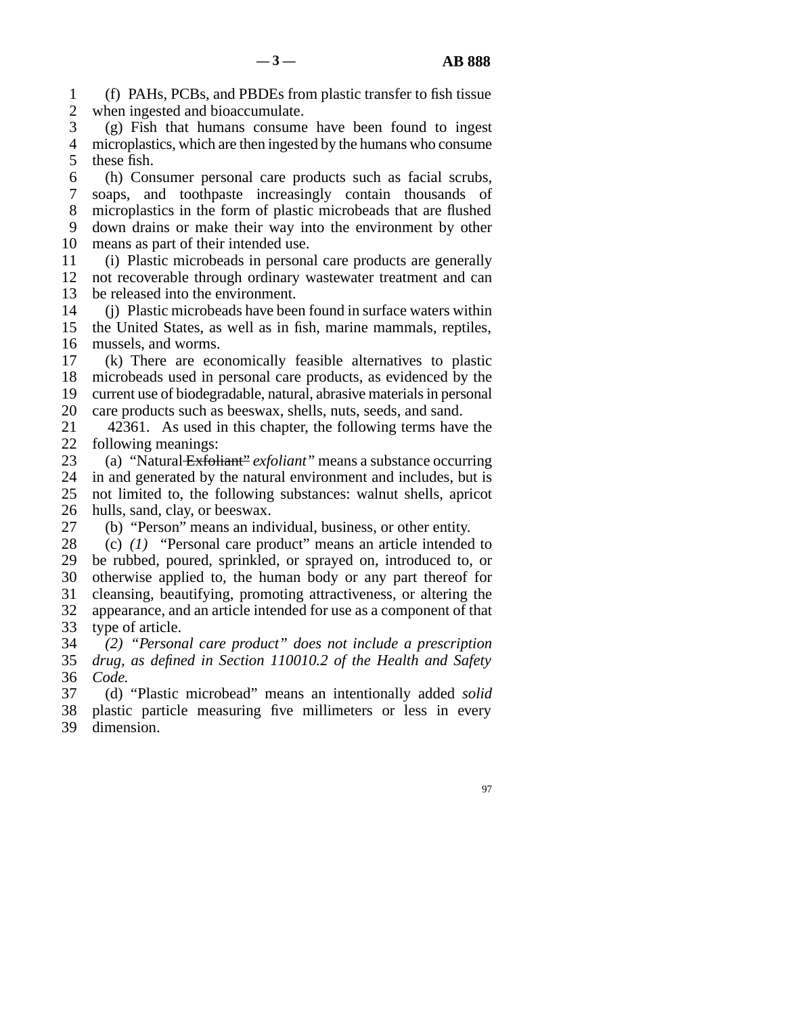line 1 (f) PAHs, PCBs, and PBDEs from plastic transfer to fish tissue 2 when ingested and bioaccumulate.

 line 3 (g) Fish that humans consume have been found to ingest 4 microplastics, which are then ingested by the humans who consume 5 these fish.

6 (h) Consumer personal care products such as facial scrubs, 7 soaps, and toothpaste increasingly contain thousands of 8 microplastics in the form of plastic microbeads that are flushed 9 down drains or make their way into the environment by other 10 means as part of their intended use.

- line 11 (i) Plastic microbeads in personal care products are generally 12 not recoverable through ordinary wastewater treatment and can 13 be released into the environment.
- 14 (j) Plastic microbeads have been found in surface waters within 15 the United States, as well as in fish, marine mammals, reptiles, 16 mussels, and worms.

17 (k) There are economically feasible alternatives to plastic 18 microbeads used in personal care products, as evidenced by the 19 current use of biodegradable, natural, abrasive materials in personal 20 care products such as beeswax, shells, nuts, seeds, and sand.

21 42361. As used in this chapter, the following terms have the 22 following meanings:

 line 23 (a) "Natural Exfoliant" *exfoliant"* means a substance occurring 24 in and generated by the natural environment and includes, but is 25 not limited to, the following substances: walnut shells, apricot not limited to, the following substances: walnut shells, apricot 26 hulls, sand, clay, or beeswax.

27 (b) "Person" means an individual, business, or other entity.

- 28 (c) (1) "Personal care product" means an article intended to 29 be rubbed, poured, sprinkled, or sprayed on, introduced to, or 30 otherwise applied to, the human body or any part thereof for 31 cleansing, beautifying, promoting attractiveness, or altering the 32 appearance, and an article intended for use as a component of that 33 type of article.
- line 34 *(2) "Personal care product" does not include a prescription* line 35 *drug, as defined in Section 110010.2 of the Health and Safety* 36 *Code.*

 line 37 (d) "Plastic microbead" means an intentionally added *solid* 38 plastic particle measuring five millimeters or less in every 39 dimension.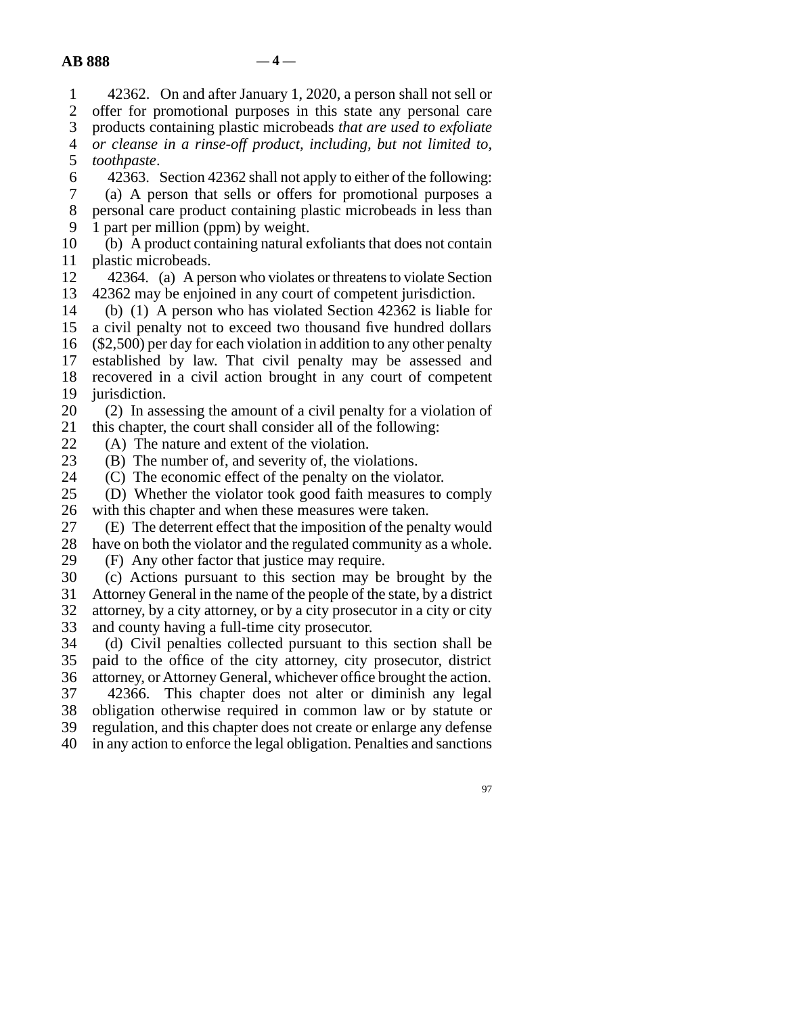line 1 42362. On and after January 1, 2020, a person shall not sell or 2 offer for promotional purposes in this state any personal care<br>3 products containing plastic microbeads that are used to exfoliate products containing plastic microbeads *that are used to exfoliate*  line 4 *or cleanse in a rinse-off product, including, but not limited to,* 5 *toothpaste*. 6 42363. Section 42362 shall not apply to either of the following: line 7 (a) A person that sells or offers for promotional purposes a 8 personal care product containing plastic microbeads in less than 9 1 part per million (ppm) by weight. 10 (b) A product containing natural exfoliants that does not contain 11 plastic microbeads. 12 42364. (a) A person who violates or threatens to violate Section 13 42362 may be enjoined in any court of competent jurisdiction. 14 (b) (1) A person who has violated Section 42362 is liable for 15 a civil penalty not to exceed two thousand five hundred dollars 16  $(S2,500)$  per day for each violation in addition to any other penalty 17 established by law. That civil penalty may be assessed and 18 recovered in a civil action brought in any court of competent 19 jurisdiction.  $20$  (2) In assessing the amount of a civil penalty for a violation of 21 this chapter, the court shall consider all of the following: 22 (A) The nature and extent of the violation.<br>23 (B) The number of, and severity of, the vio  $(B)$  The number of, and severity of, the violations. 24 (C) The economic effect of the penalty on the violator.<br>25 (D) Whether the violator took good faith measures to (D) Whether the violator took good faith measures to comply 26 with this chapter and when these measures were taken. 27 (E) The deterrent effect that the imposition of the penalty would 28 have on both the violator and the regulated community as a whole. 29 (F) Any other factor that justice may require. line 30 (c) Actions pursuant to this section may be brought by the 31 Attorney General in the name of the people of the state, by a district 32 attorney, by a city attorney, or by a city prosecutor in a city or city 33 and county having a full-time city prosecutor. 34 (d) Civil penalties collected pursuant to this section shall be 35 paid to the office of the city attorney, city prosecutor, district 36 attorney, or Attorney General, whichever office brought the action. 37 42366. This chapter does not alter or diminish any legal 38 obligation otherwise required in common law or by statute or 39 regulation, and this chapter does not create or enlarge any defense 40 in any action to enforce the legal obligation. Penalties and sanctions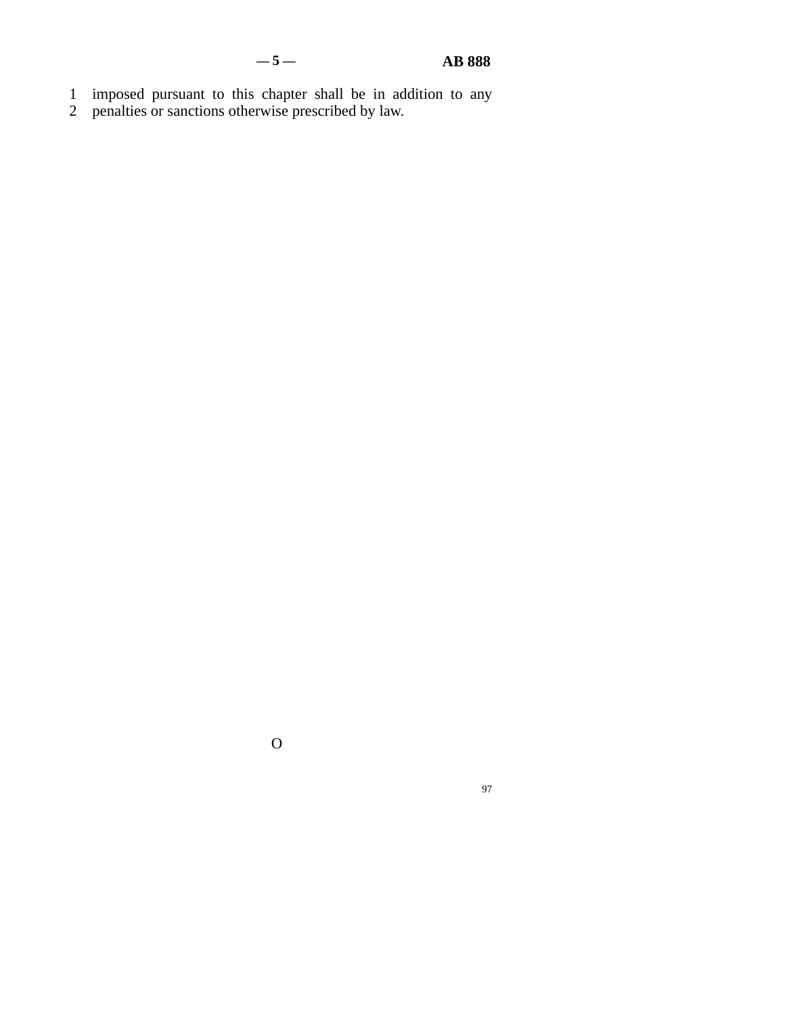- 1 imposed pursuant to this chapter shall be in addition to any
- 2 penalties or sanctions otherwise prescribed by law.

O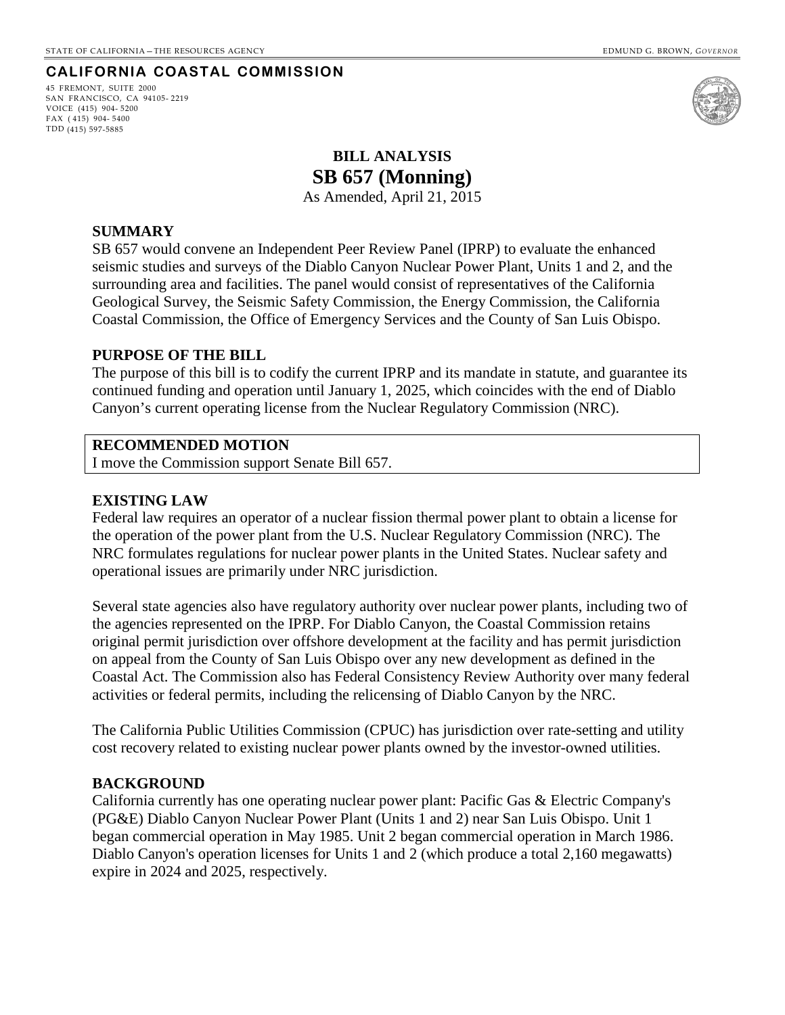## **CALIFORNIA COASTAL COMMISSION**

45 FREMONT, SUITE 2000 SAN FRANCISCO, CA 94105- 2219 VOICE (415) 904- 5200 FAX ( 415) 904- 5400 TDD (415) 597-5885



# **BILL ANALYSIS SB 657 (Monning)**

As Amended, April 21, 2015

### <span id="page-23-0"></span>**SUMMARY**

SB 657 would convene an Independent Peer Review Panel (IPRP) to evaluate the enhanced seismic studies and surveys of the Diablo Canyon Nuclear Power Plant, Units 1 and 2, and the surrounding area and facilities. The panel would consist of representatives of the California Geological Survey, the Seismic Safety Commission, the Energy Commission, the California Coastal Commission, the Office of Emergency Services and the County of San Luis Obispo.

#### **PURPOSE OF THE BILL**

The purpose of this bill is to codify the current IPRP and its mandate in statute, and guarantee its continued funding and operation until January 1, 2025, which coincides with the end of Diablo Canyon's current operating license from the Nuclear Regulatory Commission (NRC).

#### **RECOMMENDED MOTION**

I move the Commission support Senate Bill 657.

#### **EXISTING LAW**

Federal law requires an operator of a nuclear fission thermal power plant to obtain a license for the operation of the power plant from the U.S. Nuclear Regulatory Commission (NRC). The NRC formulates regulations for nuclear power plants in the United States. Nuclear safety and operational issues are primarily under NRC jurisdiction.

Several state agencies also have regulatory authority over nuclear power plants, including two of the agencies represented on the IPRP. For Diablo Canyon, the Coastal Commission retains original permit jurisdiction over offshore development at the facility and has permit jurisdiction on appeal from the County of San Luis Obispo over any new development as defined in the Coastal Act. The Commission also has Federal Consistency Review Authority over many federal activities or federal permits, including the relicensing of Diablo Canyon by the NRC.

The California Public Utilities Commission (CPUC) has jurisdiction over rate-setting and utility cost recovery related to existing nuclear power plants owned by the investor-owned utilities.

#### **BACKGROUND**

California currently has one operating nuclear power plant: Pacific Gas & Electric Company's (PG&E) Diablo Canyon Nuclear Power Plant (Units 1 and 2) near San Luis Obispo. Unit 1 began commercial operation in May 1985. Unit 2 began commercial operation in March 1986. Diablo Canyon's operation licenses for Units 1 and 2 (which produce a total 2,160 megawatts) expire in 2024 and 2025, respectively.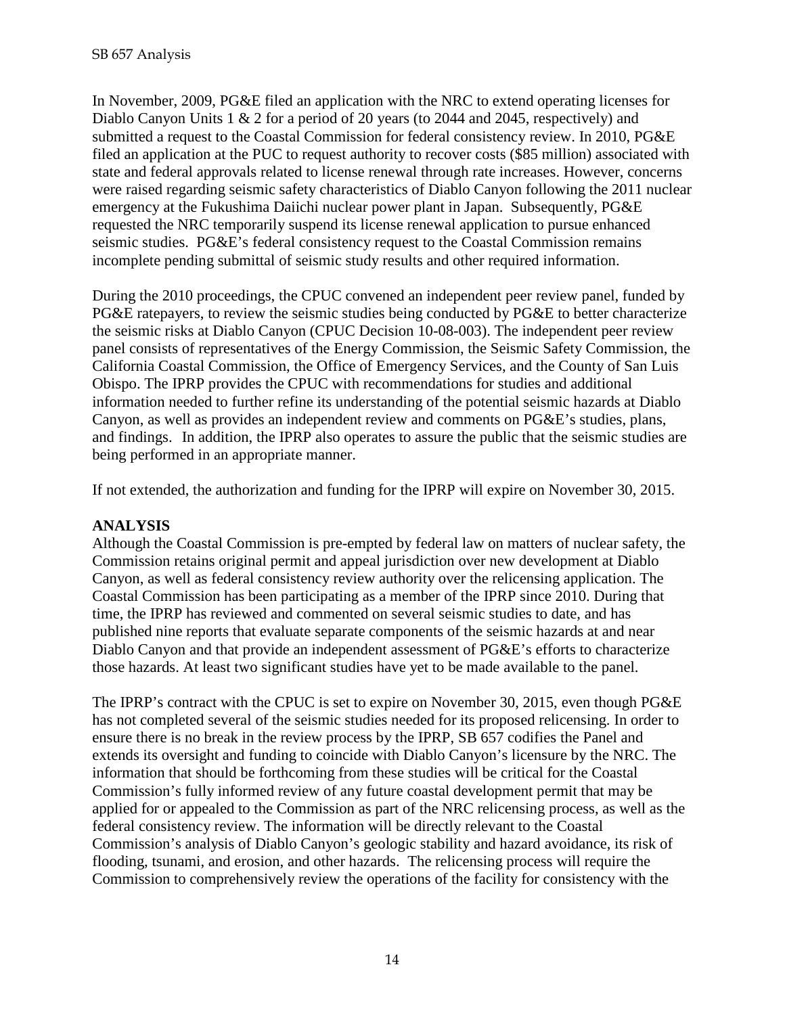In November, 2009, PG&E filed an application with the NRC to extend operating licenses for Diablo Canyon Units 1 & 2 for a period of 20 years (to 2044 and 2045, respectively) and submitted a request to the Coastal Commission for federal consistency review. In 2010, PG&E filed an application at the PUC to request authority to recover costs (\$85 million) associated with state and federal approvals related to license renewal through rate increases. However, concerns were raised regarding seismic safety characteristics of Diablo Canyon following the 2011 nuclear emergency at the Fukushima Daiichi nuclear power plant in Japan. Subsequently, PG&E requested the NRC temporarily suspend its license renewal application to pursue enhanced seismic studies. PG&E's federal consistency request to the Coastal Commission remains incomplete pending submittal of seismic study results and other required information.

During the 2010 proceedings, the CPUC convened an independent peer review panel, funded by PG&E ratepayers, to review the seismic studies being conducted by PG&E to better characterize the seismic risks at Diablo Canyon (CPUC Decision 10-08-003). The independent peer review panel consists of representatives of the Energy Commission, the Seismic Safety Commission, the California Coastal Commission, the Office of Emergency Services, and the County of San Luis Obispo. The IPRP provides the CPUC with recommendations for studies and additional information needed to further refine its understanding of the potential seismic hazards at Diablo Canyon, as well as provides an independent review and comments on PG&E's studies, plans, and findings. In addition, the IPRP also operates to assure the public that the seismic studies are being performed in an appropriate manner.

If not extended, the authorization and funding for the IPRP will expire on November 30, 2015.

# **ANALYSIS**

Although the Coastal Commission is pre-empted by federal law on matters of nuclear safety, the Commission retains original permit and appeal jurisdiction over new development at Diablo Canyon, as well as federal consistency review authority over the relicensing application. The Coastal Commission has been participating as a member of the IPRP since 2010. During that time, the IPRP has reviewed and commented on several seismic studies to date, and has published nine reports that evaluate separate components of the seismic hazards at and near Diablo Canyon and that provide an independent assessment of PG&E's efforts to characterize those hazards. At least two significant studies have yet to be made available to the panel.

The IPRP's contract with the CPUC is set to expire on November 30, 2015, even though PG&E has not completed several of the seismic studies needed for its proposed relicensing. In order to ensure there is no break in the review process by the IPRP, SB 657 codifies the Panel and extends its oversight and funding to coincide with Diablo Canyon's licensure by the NRC. The information that should be forthcoming from these studies will be critical for the Coastal Commission's fully informed review of any future coastal development permit that may be applied for or appealed to the Commission as part of the NRC relicensing process, as well as the federal consistency review. The information will be directly relevant to the Coastal Commission's analysis of Diablo Canyon's geologic stability and hazard avoidance, its risk of flooding, tsunami, and erosion, and other hazards. The relicensing process will require the Commission to comprehensively review the operations of the facility for consistency with the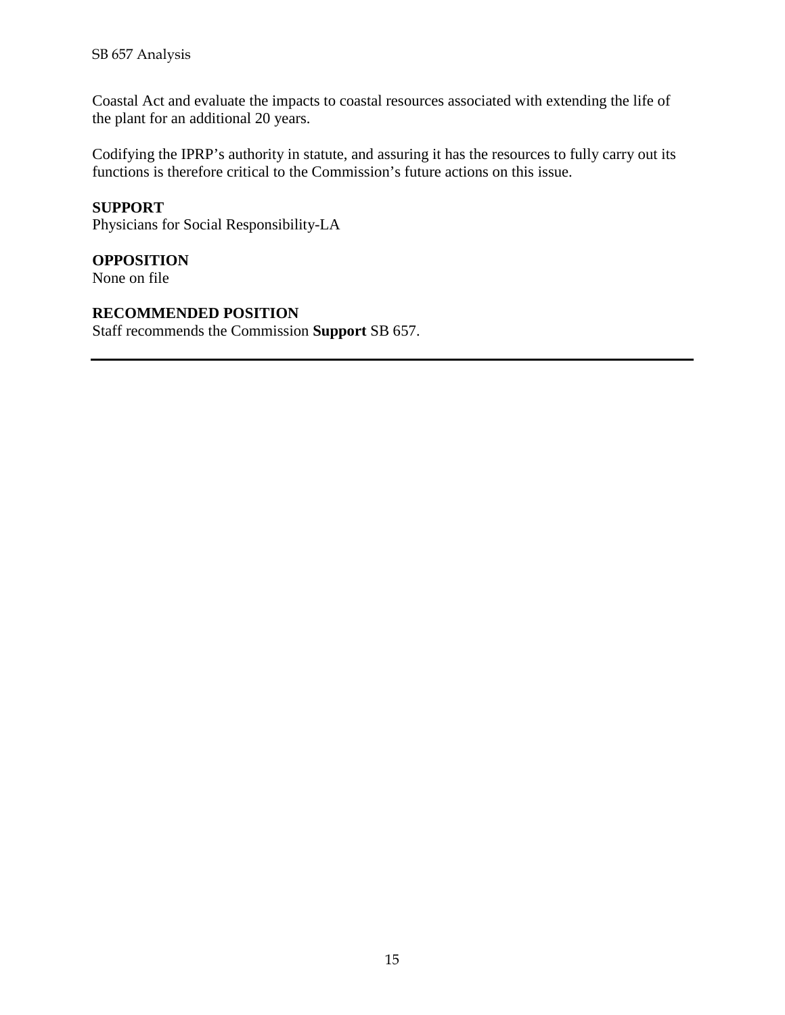Coastal Act and evaluate the impacts to coastal resources associated with extending the life of the plant for an additional 20 years.

Codifying the IPRP's authority in statute, and assuring it has the resources to fully carry out its functions is therefore critical to the Commission's future actions on this issue.

# **SUPPORT**

Physicians for Social Responsibility-LA

# **OPPOSITION**

None on file

# **RECOMMENDED POSITION**

Staff recommends the Commission **Support** SB 657.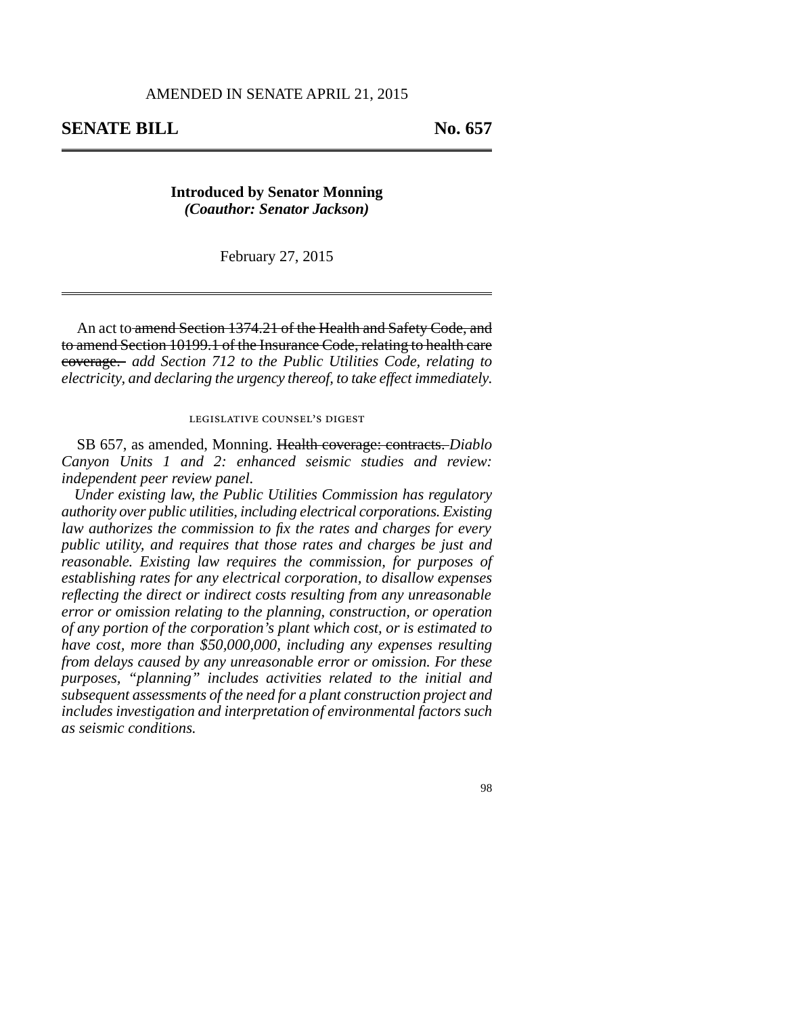# **SENATE BILL** No. 657

**Introduced by Senator Monning** *(Coauthor: Senator Jackson)*

February 27, 2015

An act to amend Section 1374.21 of the Health and Safety Code, and to amend Section 10199.1 of the Insurance Code, relating to health care coverage. *add Section 712 to the Public Utilities Code, relating to electricity, and declaring the urgency thereof, to take effect immediately.*

#### legislative counsel's digest

SB 657, as amended, Monning. Health coverage: contracts. *Diablo Canyon Units 1 and 2: enhanced seismic studies and review: independent peer review panel.*

*Under existing law, the Public Utilities Commission has regulatory authority over public utilities, including electrical corporations. Existing law authorizes the commission to fix the rates and charges for every public utility, and requires that those rates and charges be just and reasonable. Existing law requires the commission, for purposes of establishing rates for any electrical corporation, to disallow expenses reflecting the direct or indirect costs resulting from any unreasonable error or omission relating to the planning, construction, or operation of any portion of the corporation's plant which cost, or is estimated to have cost, more than \$50,000,000, including any expenses resulting from delays caused by any unreasonable error or omission. For these purposes, "planning" includes activities related to the initial and subsequent assessments of the need for a plant construction project and includes investigation and interpretation of environmental factors such as seismic conditions.*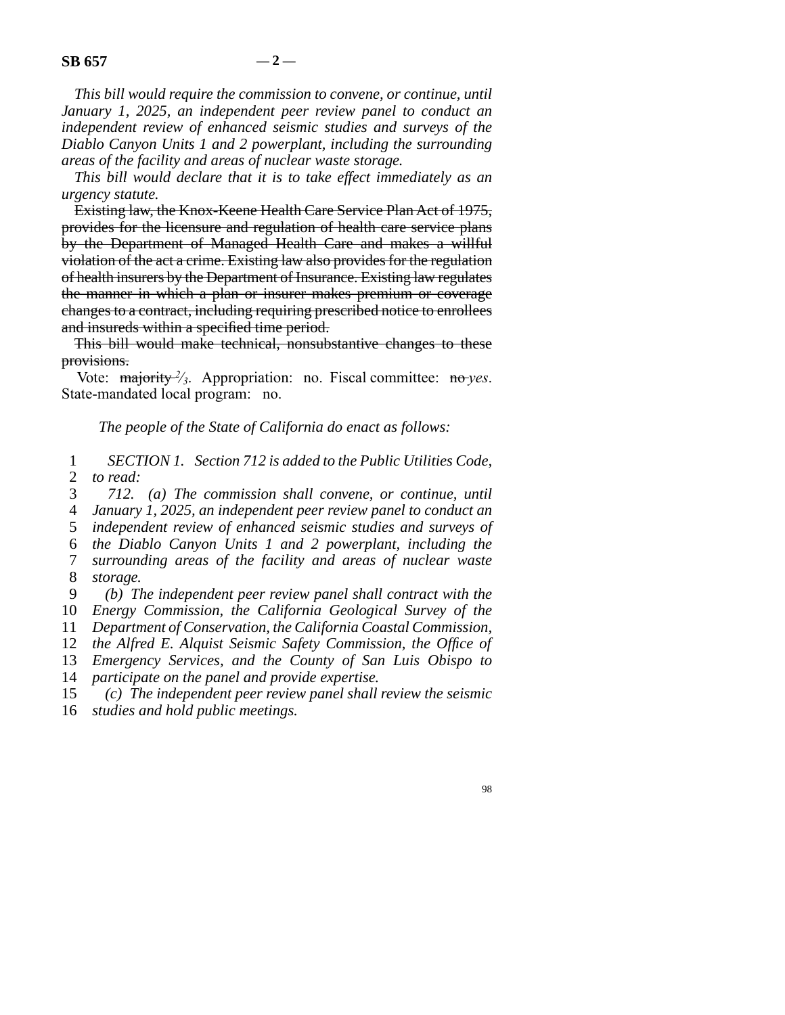*This bill would require the commission to convene, or continue, until January 1, 2025, an independent peer review panel to conduct an independent review of enhanced seismic studies and surveys of the Diablo Canyon Units 1 and 2 powerplant, including the surrounding areas of the facility and areas of nuclear waste storage.*

*This bill would declare that it is to take effect immediately as an urgency statute.*

Existing law, the Knox-Keene Health Care Service Plan Act of 1975, provides for the licensure and regulation of health care service plans by the Department of Managed Health Care and makes a willful violation of the act a crime. Existing law also provides for the regulation of health insurers by the Department of Insurance. Existing law regulates the manner in which a plan or insurer makes premium or coverage changes to a contract, including requiring prescribed notice to enrollees and insureds within a specified time period.

This bill would make technical, nonsubstantive changes to these provisions.

Vote: majority <sup>2</sup>/<sub>3</sub>. Appropriation: no. Fiscal committee: no *yes*. State-mandated local program: no.

*The people of the State of California do enact as follows:*

 line 1 *SECTION 1. Section 712 is added to the Public Utilities Code,* 2 *to read:* 

line 3 *712. (a) The commission shall convene, or continue, until*

line 4 *January 1, 2025, an independent peer review panel to conduct an*

5 *independent review of enhanced seismic studies and surveys of* 

line 6 *the Diablo Canyon Units 1 and 2 powerplant, including the*

 line 7 *surrounding areas of the facility and areas of nuclear waste* 8 *storage.* 

line 9 *(b) The independent peer review panel shall contract with the*

10 *Energy Commission, the California Geological Survey of the* 

11 *Department of Conservation, the California Coastal Commission,* 

12 *the Alfred E. Alquist Seismic Safety Commission, the Office of* 

13 *Emergency Services, and the County of San Luis Obispo to* 

14 *participate on the panel and provide expertise.* 

15 (c) The independent peer review panel shall review the seismic

16 *studies and hold public meetings.*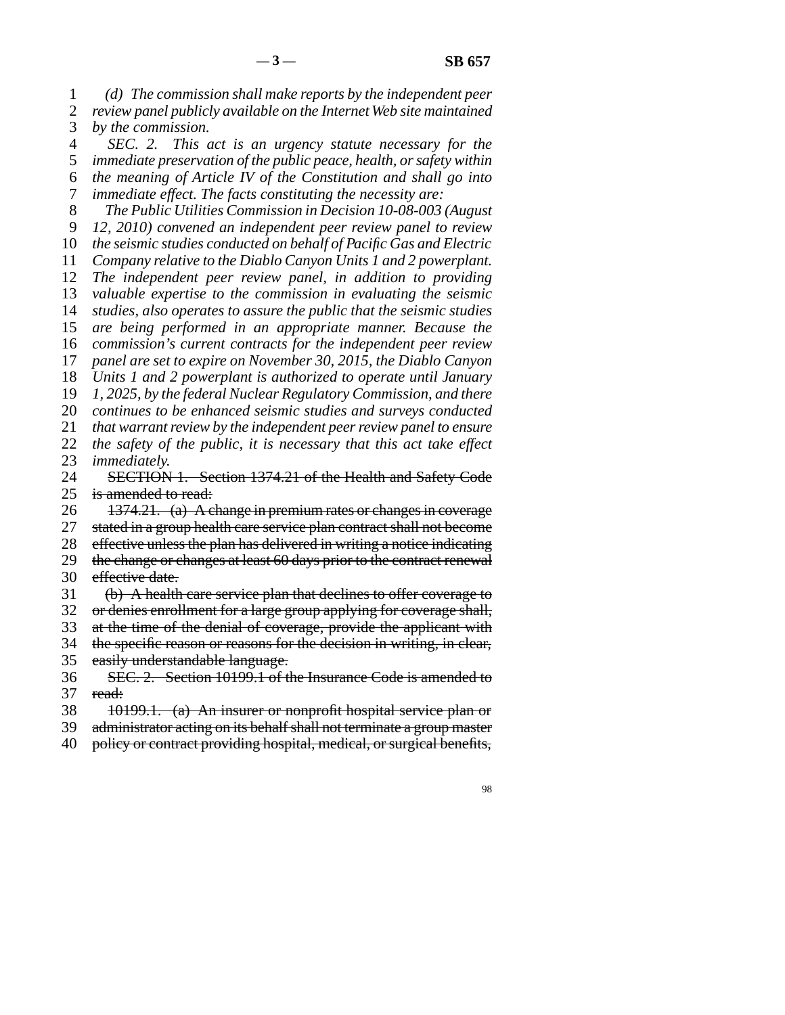line 1 *(d) The commission shall make reports by the independent peer* 2 *review panel publicly available on the Internet Web site maintained* 3 *by the commission.* 

 line 4 *SEC. 2. This act is an urgency statute necessary for the* line 5 *immediate preservation of the public peace, health, or safety within* line 6 *the meaning of Article IV of the Constitution and shall go into* line 7 *immediate effect. The facts constituting the necessity are:*

line 8 *The Public Utilities Commission in Decision 10-08-003 (August*

9 *12, 2010) convened an independent peer review panel to review* 10 *the seismic studies conducted on behalf of Pacific Gas and Electric* 

11 *Company relative to the Diablo Canyon Units 1 and 2 powerplant.* 

12 *The independent peer review panel, in addition to providing* 13 *valuable expertise to the commission in evaluating the seismic* 

14 *studies, also operates to assure the public that the seismic studies* 

15 are being performed in an appropriate manner. Because the

16 *commission's current contracts for the independent peer review* 

17 *panel are set to expire on November 30, 2015, the Diablo Canyon* 

18 *Units 1 and 2 powerplant is authorized to operate until January* 

19 *1, 2025, by the federal Nuclear Regulatory Commission, and there* 

20 *continues to be enhanced seismic studies and surveys conducted* 

21 *that warrant review by the independent peer review panel to ensure* 

22 *the safety of the public, it is necessary that this act take effect* 23 *immediately.* 

24 SECTION 1. Section 1374.21 of the Health and Safety Code<br>25 is amended to read: is amended to read:

26  $1374.21.$  (a) A change in premium rates or changes in coverage

27 stated in a group health care service plan contract shall not become

28 effective unless the plan has delivered in writing a notice indicating

- 29 the change or changes at least 60 days prior to the contract renewal 30 effective date.
- 31 (b) A health care service plan that declines to offer coverage to

32 or denies enrollment for a large group applying for coverage shall,

33 at the time of the denial of coverage, provide the applicant with

34 the specific reason or reasons for the decision in writing, in clear,

- 35 easily understandable language.
- 36 SEC. 2. Section 10199.1 of the Insurance Code is amended to 37 read:
- 38 10199.1. (a) An insurer or nonprofit hospital service plan or

39 administrator acting on its behalf shall not terminate a group master

40 policy or contract providing hospital, medical, or surgical benefits,